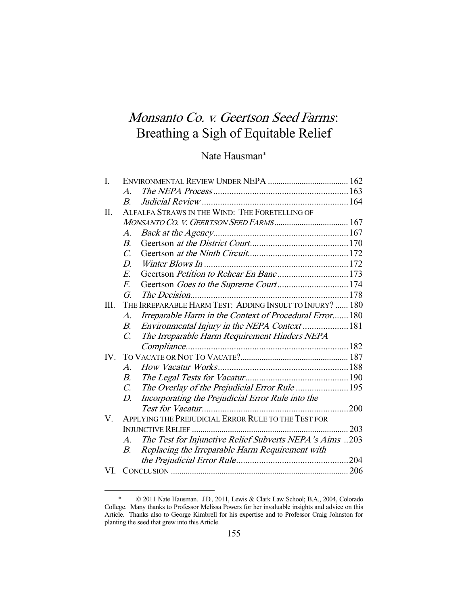# Monsanto Co. v. Geertson Seed Farms: Breathing a Sigh of Equitable Relief

# Nate Hausman\*

| I.  |                                                          |                                                         |     |
|-----|----------------------------------------------------------|---------------------------------------------------------|-----|
|     | $\mathcal{A}_{\cdot}$                                    |                                                         |     |
|     | $B_{\cdot}$                                              |                                                         |     |
| Π.  | ALFALFA STRAWS IN THE WIND: THE FORETELLING OF           |                                                         |     |
|     |                                                          |                                                         |     |
|     | $A$ .                                                    |                                                         |     |
|     | $B_{\cdot}$                                              |                                                         |     |
|     | $\mathcal{C}$ .                                          |                                                         |     |
|     | D.                                                       |                                                         |     |
|     | E.                                                       | Geertson Petition to Rehear En Banc173                  |     |
|     | F.                                                       |                                                         |     |
|     | G.                                                       |                                                         |     |
| Ш.  | THE IRREPARABLE HARM TEST: ADDING INSULT TO INJURY?  180 |                                                         |     |
|     | $A$ .                                                    | Irreparable Harm in the Context of Procedural Error 180 |     |
|     | В.                                                       | Environmental Injury in the NEPA Context  181           |     |
|     | $\mathcal{C}$                                            | The Irreparable Harm Requirement Hinders NEPA           |     |
|     |                                                          |                                                         |     |
| IV. |                                                          |                                                         |     |
|     | $\mathcal{A}.$                                           |                                                         |     |
|     | В.                                                       |                                                         |     |
|     | $C_{\cdot}$                                              |                                                         |     |
|     | D.                                                       | Incorporating the Prejudicial Error Rule into the       |     |
|     |                                                          |                                                         |     |
| V.  | APPLYING THE PREJUDICIAL ERROR RULE TO THE TEST FOR      |                                                         |     |
|     |                                                          |                                                         | 203 |
|     | A.                                                       | The Test for Injunctive Relief Subverts NEPA's Aims 203 |     |
|     | В.                                                       | Replacing the Irreparable Harm Requirement with         |     |
|     |                                                          |                                                         |     |
| VI. |                                                          |                                                         |     |
|     |                                                          |                                                         |     |

 <sup>\* © 2011</sup> Nate Hausman. J.D., 2011, Lewis & Clark Law School; B.A., 2004, Colorado College. Many thanks to Professor Melissa Powers for her invaluable insights and advice on this Article. Thanks also to George Kimbrell for his expertise and to Professor Craig Johnston for planting the seed that grew into this Article.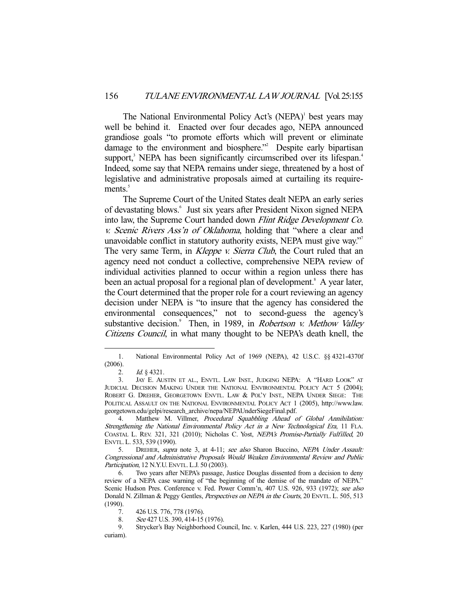The National Environmental Policy Act's (NEPA)<sup>1</sup> best years may well be behind it. Enacted over four decades ago, NEPA announced grandiose goals "to promote efforts which will prevent or eliminate damage to the environment and biosphere."<sup>2</sup> Despite early bipartisan support,<sup>3</sup> NEPA has been significantly circumscribed over its lifespan.<sup>4</sup> Indeed, some say that NEPA remains under siege, threatened by a host of legislative and administrative proposals aimed at curtailing its require $ments.<sup>5</sup>$ 

 The Supreme Court of the United States dealt NEPA an early series of devastating blows.<sup>6</sup> Just six years after President Nixon signed NEPA into law, the Supreme Court handed down Flint Ridge Development Co. v. Scenic Rivers Ass'n of Oklahoma, holding that "where a clear and unavoidable conflict in statutory authority exists, NEPA must give way."<sup>7</sup> The very same Term, in *Kleppe v. Sierra Club*, the Court ruled that an agency need not conduct a collective, comprehensive NEPA review of individual activities planned to occur within a region unless there has been an actual proposal for a regional plan of development.<sup>8</sup> A year later, the Court determined that the proper role for a court reviewing an agency decision under NEPA is "to insure that the agency has considered the environmental consequences," not to second-guess the agency's substantive decision.<sup>9</sup> Then, in 1989, in Robertson v. Methow Valley Citizens Council, in what many thought to be NEPA's death knell, the

 <sup>1.</sup> National Environmental Policy Act of 1969 (NEPA), 42 U.S.C. §§ 4321-4370f (2006).

<sup>2.</sup> *Id.* § 4321.

 <sup>3.</sup> JAY E. AUSTIN ET AL., ENVTL. LAW INST., JUDGING NEPA: A "HARD LOOK" AT JUDICIAL DECISION MAKING UNDER THE NATIONAL ENVIRONMENTAL POLICY ACT 5 (2004); ROBERT G. DREHER, GEORGETOWN ENVTL. LAW & POL'Y INST., NEPA UNDER SIEGE: THE POLITICAL ASSAULT ON THE NATIONAL ENVIRONMENTAL POLICY ACT 1 (2005), http://www.law. georgetown.edu/gelpi/research\_archive/nepa/NEPAUnderSiegeFinal.pdf.

 <sup>4.</sup> Matthew M. Villmer, Procedural Squabbling Ahead of Global Annihilation: Strengthening the National Environmental Policy Act in a New Technological Era, 11 FLA. COASTAL L. REV. 321, 321 (2010); Nicholas C. Yost, NEPA's Promise-Partially Fulfilled, 20 ENVTL. L. 533, 539 (1990).

<sup>5.</sup> DREHER, supra note 3, at 4-11; see also Sharon Buccino, NEPA Under Assault: Congressional and Administrative Proposals Would Weaken Environmental Review and Public Participation, 12 N.Y.U. ENVTL. L.J. 50 (2003).

 <sup>6.</sup> Two years after NEPA's passage, Justice Douglas dissented from a decision to deny review of a NEPA case warning of "the beginning of the demise of the mandate of NEPA." Scenic Hudson Pres. Conference v. Fed. Power Comm'n, 407 U.S. 926, 933 (1972); see also Donald N. Zillman & Peggy Gentles, Perspectives on NEPA in the Courts, 20 ENVTL. L. 505, 513 (1990).

 <sup>7. 426</sup> U.S. 776, 778 (1976).

<sup>8.</sup> See 427 U.S. 390, 414-15 (1976).<br>9. Strycker's Bay Neighborhood Co

 <sup>9.</sup> Strycker's Bay Neighborhood Council, Inc. v. Karlen, 444 U.S. 223, 227 (1980) (per curiam).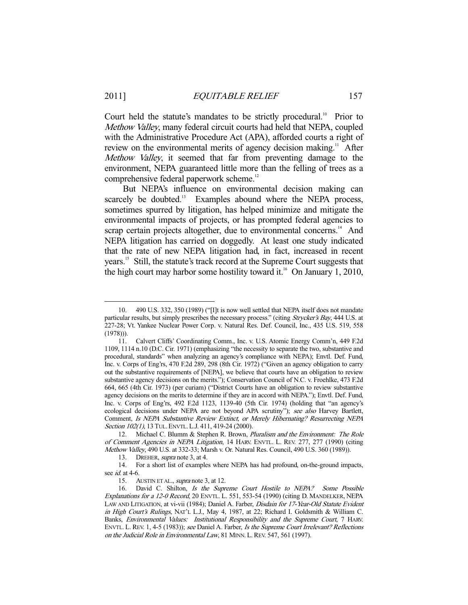Court held the statute's mandates to be strictly procedural.<sup>10</sup> Prior to Methow Valley, many federal circuit courts had held that NEPA, coupled with the Administrative Procedure Act (APA), afforded courts a right of review on the environmental merits of agency decision making.<sup>11</sup> After Methow Valley, it seemed that far from preventing damage to the environment, NEPA guaranteed little more than the felling of trees as a comprehensive federal paperwork scheme.<sup>12</sup>

 But NEPA's influence on environmental decision making can scarcely be doubted.<sup>13</sup> Examples abound where the NEPA process, sometimes spurred by litigation, has helped minimize and mitigate the environmental impacts of projects, or has prompted federal agencies to scrap certain projects altogether, due to environmental concerns.<sup>14</sup> And NEPA litigation has carried on doggedly. At least one study indicated that the rate of new NEPA litigation had, in fact, increased in recent years.15 Still, the statute's track record at the Supreme Court suggests that the high court may harbor some hostility toward it.<sup>16</sup> On January 1, 2010,

 <sup>10. 490</sup> U.S. 332, 350 (1989) ("[I]t is now well settled that NEPA itself does not mandate particular results, but simply prescribes the necessary process." (citing Strycker's Bay, 444 U.S. at 227-28; Vt. Yankee Nuclear Power Corp. v. Natural Res. Def. Council, Inc., 435 U.S. 519, 558 (1978))).

 <sup>11.</sup> Calvert Cliffs' Coordinating Comm., Inc. v. U.S. Atomic Energy Comm'n, 449 F.2d 1109, 1114 n.10 (D.C. Cir. 1971) (emphasizing "the necessity to separate the two, substantive and procedural, standards" when analyzing an agency's compliance with NEPA); Envtl. Def. Fund, Inc. v. Corps of Eng'rs, 470 F.2d 289, 298 (8th Cir. 1972) ("Given an agency obligation to carry out the substantive requirements of [NEPA], we believe that courts have an obligation to review substantive agency decisions on the merits."); Conservation Council of N.C. v. Froehlke, 473 F.2d 664, 665 (4th Cir. 1973) (per curiam) ("District Courts have an obligation to review substantive agency decisions on the merits to determine if they are in accord with NEPA."); Envtl. Def. Fund, Inc. v. Corps of Eng'rs, 492 F.2d 1123, 1139-40 (5th Cir. 1974) (holding that "an agency's ecological decisions under NEPA are not beyond APA scrutiny"); see also Harvey Bartlett, Comment, Is NEPA Substantive Review Extinct, or Merely Hibernating? Resurrecting NEPA Section 102(1), 13 TUL. ENVTL. L.J. 411, 419-24 (2000).

<sup>12.</sup> Michael C. Blumm & Stephen R. Brown, *Pluralism and the Environment: The Role* of Comment Agencies in NEPA Litigation, 14 HARV. ENVTL. L. REV. 277, 277 (1990) (citing Methow Valley, 490 U.S. at 332-33; Marsh v. Or. Natural Res. Council, 490 U.S. 360 (1989)).

<sup>13.</sup> DREHER, *supra* note 3, at 4.

 <sup>14.</sup> For a short list of examples where NEPA has had profound, on-the-ground impacts, see *id.* at 4-6.

<sup>15.</sup> AUSTIN ET AL., *supra* note 3, at 12.

 <sup>16.</sup> David C. Shilton, Is the Supreme Court Hostile to NEPA? Some Possible Explanations for a 12-0 Record, 20 ENVTL. L. 551, 553-54 (1990) (citing D. MANDELKER, NEPA LAW AND LITIGATION, at vi-vii (1984); Daniel A. Farber, *Disdain for 17-Year-Old Statute Evident* in High Court's Rulings, NAT'L L.J., May 4, 1987, at 22; Richard I. Goldsmith & William C. Banks, Environmental Values: Institutional Responsibility and the Supreme Court, 7 HARV. ENVTL. L. REV. 1, 4-5 (1983)); see Daniel A. Farber, Is the Supreme Court Irrelevant? Reflections on the Judicial Role in Environmental Law, 81 MINN. L.REV. 547, 561 (1997).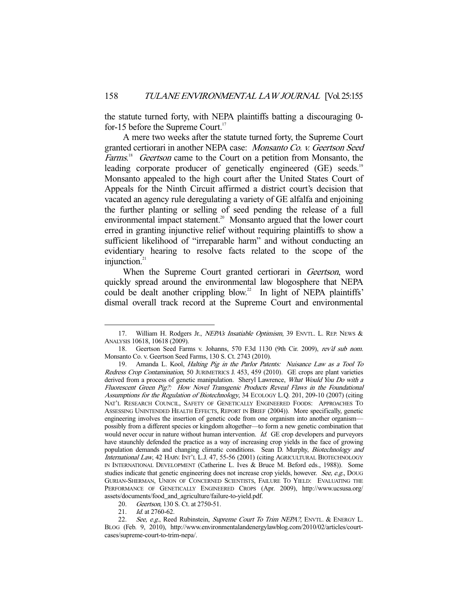the statute turned forty, with NEPA plaintiffs batting a discouraging 0 for-15 before the Supreme Court.<sup>17</sup>

 A mere two weeks after the statute turned forty, the Supreme Court granted certiorari in another NEPA case: Monsanto Co. v. Geertson Seed Farms.<sup>18</sup> Geertson came to the Court on a petition from Monsanto, the leading corporate producer of genetically engineered (GE) seeds.<sup>19</sup> Monsanto appealed to the high court after the United States Court of Appeals for the Ninth Circuit affirmed a district court's decision that vacated an agency rule deregulating a variety of GE alfalfa and enjoining the further planting or selling of seed pending the release of a full environmental impact statement.<sup>20</sup> Monsanto argued that the lower court erred in granting injunctive relief without requiring plaintiffs to show a sufficient likelihood of "irreparable harm" and without conducting an evidentiary hearing to resolve facts related to the scope of the injunction.<sup>21</sup>

When the Supreme Court granted certiorari in *Geertson*, word quickly spread around the environmental law blogosphere that NEPA could be dealt another crippling blow.<sup>22</sup> In light of NEPA plaintiffs' dismal overall track record at the Supreme Court and environmental

<sup>17.</sup> William H. Rodgers Jr., *NEPA's Insatiable Optimism*, 39 ENVTL. L. REP. NEWS & ANALYSIS 10618, 10618 (2009).

<sup>18.</sup> Geertson Seed Farms v. Johanns, 570 F.3d 1130 (9th Cir. 2009), rev'd sub nom. Monsanto Co. v. Geertson Seed Farms, 130 S. Ct. 2743 (2010).

 <sup>19.</sup> Amanda L. Kool, Halting Pig in the Parlor Patents: Nuisance Law as a Tool To Redress Crop Contamination, 50 JURIMETRICS J. 453, 459 (2010). GE crops are plant varieties derived from a process of genetic manipulation. Sheryl Lawrence, What Would You Do with a Fluorescent Green Pig?: How Novel Transgenic Products Reveal Flaws in the Foundational Assumptions for the Regulation of Biotechnology, 34 ECOLOGY L.Q. 201, 209-10 (2007) (citing NAT'L RESEARCH COUNCIL, SAFETY OF GENETICALLY ENGINEERED FOODS: APPROACHES TO ASSESSING UNINTENDED HEALTH EFFECTS, REPORT IN BRIEF (2004)). More specifically, genetic engineering involves the insertion of genetic code from one organism into another organism possibly from a different species or kingdom altogether—to form a new genetic combination that would never occur in nature without human intervention. Id. GE crop developers and purveyors have staunchly defended the practice as a way of increasing crop yields in the face of growing population demands and changing climatic conditions. Sean D. Murphy, Biotechnology and International Law, 42 HARV. INT'L L.J. 47, 55-56 (2001) (citing AGRICULTURAL BIOTECHNOLOGY IN INTERNATIONAL DEVELOPMENT (Catherine L. Ives & Bruce M. Beford eds., 1988)). Some studies indicate that genetic engineering does not increase crop yields, however. See, e.g., DOUG GURIAN-SHERMAN, UNION OF CONCERNED SCIENTISTS, FAILURE TO YIELD: EVALUATING THE PERFORMANCE OF GENETICALLY ENGINEERED CROPS (Apr. 2009), http://www.ucsusa.org/ assets/documents/food\_and\_agriculture/failure-to-yield.pdf.

<sup>20.</sup> Geertson, 130 S. Ct. at 2750-51.

<sup>21.</sup> *Id.* at 2760-62.

<sup>22.</sup> See, e.g., Reed Rubinstein, Supreme Court To Trim NEPA?, ENVTL. & ENERGY L. BLOG (Feb. 9, 2010), http://www.environmentalandenergylawblog.com/2010/02/articles/courtcases/supreme-court-to-trim-nepa/.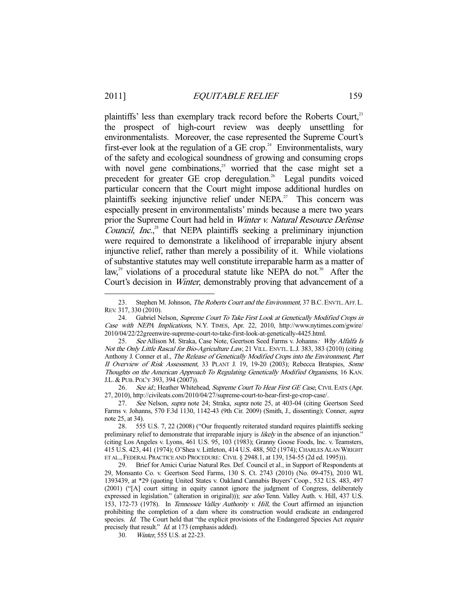plaintiffs' less than exemplary track record before the Roberts Court.<sup>23</sup> the prospect of high-court review was deeply unsettling for environmentalists. Moreover, the case represented the Supreme Court's first-ever look at the regulation of a GE crop.<sup>24</sup> Environmentalists, wary of the safety and ecological soundness of growing and consuming crops with novel gene combinations, $25$  worried that the case might set a precedent for greater GE crop deregulation.<sup>26</sup> Legal pundits voiced particular concern that the Court might impose additional hurdles on plaintiffs seeking injunctive relief under NEPA.<sup>27</sup> This concern was especially present in environmentalists' minds because a mere two years prior the Supreme Court had held in Winter v. Natural Resource Defense Council, Inc.,<sup>28</sup> that NEPA plaintiffs seeking a preliminary injunction were required to demonstrate a likelihood of irreparable injury absent injunctive relief, rather than merely a possibility of it. While violations of substantive statutes may well constitute irreparable harm as a matter of law,<sup>29</sup> violations of a procedural statute like NEPA do not.<sup>30</sup> After the Court's decision in Winter, demonstrably proving that advancement of a

26. See id.; Heather Whitehead, Supreme Court To Hear First GE Case, CIVIL EATS (Apr. 27, 2010), http://civileats.com/2010/04/27/supreme-court-to-hear-first-ge-crop-case/.

30. Winter, 555 U.S. at 22-23.

<sup>23.</sup> Stephen M. Johnson, *The Roberts Court and the Environment*, 37 B.C. ENVTL. AFF. L. REV. 317, 330 (2010).

<sup>24.</sup> Gabriel Nelson, Supreme Court To Take First Look at Genetically Modified Crops in Case with NEPA Implications, N.Y. TIMES, Apr. 22, 2010, http://www.nytimes.com/gwire/ 2010/04/22/22greenwire-supreme-court-to-take-first-look-at-genetically-4425.html.

<sup>25.</sup> See Allison M. Straka, Case Note, Geertson Seed Farms v. Johanns: Why Alfalfa Is Not the Only Little Rascal for Bio-Agriculture Law, 21 VILL. ENVTL. L.J. 383, 383 (2010) (citing Anthony J. Conner et al., The Release of Genetically Modified Crops into the Environment, Part II Overview of Risk Assessment, 33 PLANT J. 19, 19-20 (2003); Rebecca Bratspies, Some Thoughts on the American Approach To Regulating Genetically Modified Organisms, 16 KAN. J.L. & PUB. POL'Y 393, 394 (2007)).

<sup>27.</sup> See Nelson, supra note 24; Straka, supra note 25, at 403-04 (citing Geertson Seed Farms v. Johanns, 570 F.3d 1130, 1142-43 (9th Cir. 2009) (Smith, J., dissenting); Conner, supra note 25, at 34).

 <sup>28. 555</sup> U.S. 7, 22 (2008) ("Our frequently reiterated standard requires plaintiffs seeking preliminary relief to demonstrate that irreparable injury is likely in the absence of an injunction." (citing Los Angeles v. Lyons, 461 U.S. 95, 103 (1983); Granny Goose Foods, Inc. v. Teamsters, 415 U.S. 423, 441 (1974); O'Shea v. Littleton, 414 U.S. 488, 502 (1974); CHARLES ALAN WRIGHT ET AL., FEDERAL PRACTICE AND PROCEDURE: CIVIL § 2948.1, at 139, 154-55 (2d ed. 1995))).

 <sup>29.</sup> Brief for Amici Curiae Natural Res. Def. Council et al., in Support of Respondents at 29, Monsanto Co. v. Geertson Seed Farms, 130 S. Ct. 2743 (2010) (No. 09-475), 2010 WL 1393439, at \*29 (quoting United States v. Oakland Cannabis Buyers' Coop., 532 U.S. 483, 497 (2001) ("[A] court sitting in equity cannot ignore the judgment of Congress, deliberately expressed in legislation." (alteration in original))); see also Tenn. Valley Auth. v. Hill, 437 U.S. 153, 172-73 (1978). In Tennessee Valley Authority v. Hill, the Court affirmed an injunction prohibiting the completion of a dam where its construction would eradicate an endangered species. Id. The Court held that "the explicit provisions of the Endangered Species Act require precisely that result." *Id.* at 173 (emphasis added).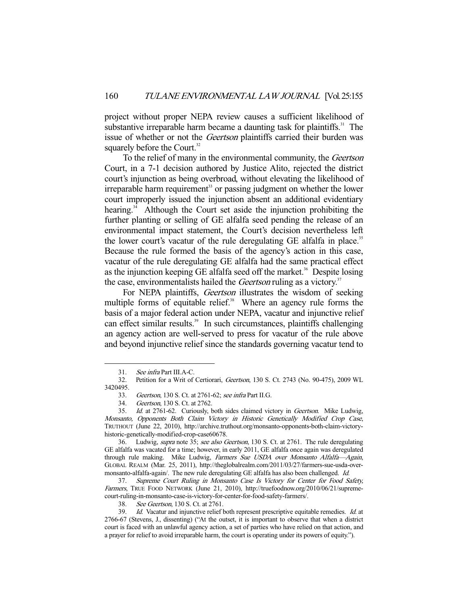project without proper NEPA review causes a sufficient likelihood of substantive irreparable harm became a daunting task for plaintiffs.<sup>31</sup> The issue of whether or not the *Geertson* plaintiffs carried their burden was squarely before the Court.<sup>32</sup>

 To the relief of many in the environmental community, the Geertson Court, in a 7-1 decision authored by Justice Alito, rejected the district court's injunction as being overbroad, without elevating the likelihood of irreparable harm requirement $33$  or passing judgment on whether the lower court improperly issued the injunction absent an additional evidentiary hearing.<sup>34</sup> Although the Court set aside the injunction prohibiting the further planting or selling of GE alfalfa seed pending the release of an environmental impact statement, the Court's decision nevertheless left the lower court's vacatur of the rule deregulating GE alfalfa in place.<sup>35</sup> Because the rule formed the basis of the agency's action in this case, vacatur of the rule deregulating GE alfalfa had the same practical effect as the injunction keeping GE alfalfa seed off the market.<sup>36</sup> Despite losing the case, environmentalists hailed the *Geertson* ruling as a victory.<sup>37</sup>

For NEPA plaintiffs, *Geertson* illustrates the wisdom of seeking multiple forms of equitable relief. $38$  Where an agency rule forms the basis of a major federal action under NEPA, vacatur and injunctive relief can effect similar results.<sup>39</sup> In such circumstances, plaintiffs challenging an agency action are well-served to press for vacatur of the rule above and beyond injunctive relief since the standards governing vacatur tend to

-

38. See Geertson, 130 S. Ct. at 2761.

 <sup>31.</sup> See infra Part III.A-C.

 <sup>32.</sup> Petition for a Writ of Certiorari, Geertson, 130 S. Ct. 2743 (No. 90-475), 2009 WL 3420495.

 <sup>33.</sup> Geertson, 130 S. Ct. at 2761-62; see infra Part II.G.

 <sup>34.</sup> Geertson, 130 S. Ct. at 2762.

 <sup>35.</sup> Id. at 2761-62. Curiously, both sides claimed victory in Geertson. Mike Ludwig, Monsanto, Opponents Both Claim Victory in Historic Genetically Modified Crop Case, TRUTHOUT (June 22, 2010), http://archive.truthout.org/monsanto-opponents-both-claim-victoryhistoric-genetically-modified-crop-case60678.

 <sup>36.</sup> Ludwig, supra note 35; see also Geertson, 130 S. Ct. at 2761. The rule deregulating GE alfalfa was vacated for a time; however, in early 2011, GE alfalfa once again was deregulated through rule making. Mike Ludwig, Farmers Sue USDA over Monsanto Alfalfa-Again, GLOBAL REALM (Mar. 25, 2011), http://theglobalrealm.com/2011/03/27/farmers-sue-usda-overmonsanto-alfalfa-again/. The new rule deregulating GE alfalfa has also been challenged. Id.

 <sup>37.</sup> Supreme Court Ruling in Monsanto Case Is Victory for Center for Food Safety, Farmers, TRUE FOOD NETWORK (June 21, 2010), http://truefoodnow.org/2010/06/21/supremecourt-ruling-in-monsanto-case-is-victory-for-center-for-food-safety-farmers/.

<sup>39.</sup> Id. Vacatur and injunctive relief both represent prescriptive equitable remedies. Id. at 2766-67 (Stevens, J., dissenting) ("At the outset, it is important to observe that when a district court is faced with an unlawful agency action, a set of parties who have relied on that action, and a prayer for relief to avoid irreparable harm, the court is operating under its powers of equity.").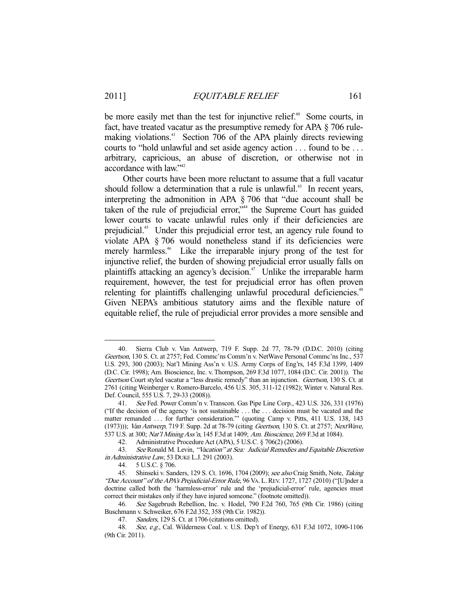be more easily met than the test for injunctive relief.<sup>40</sup> Some courts, in fact, have treated vacatur as the presumptive remedy for APA § 706 rulemaking violations.<sup>41</sup> Section 706 of the APA plainly directs reviewing courts to "hold unlawful and set aside agency action . . . found to be . . . arbitrary, capricious, an abuse of discretion, or otherwise not in accordance with law."42

 Other courts have been more reluctant to assume that a full vacatur should follow a determination that a rule is unlawful.<sup>43</sup> In recent years, interpreting the admonition in APA § 706 that "due account shall be taken of the rule of prejudicial error,"<sup>44</sup> the Supreme Court has guided lower courts to vacate unlawful rules only if their deficiencies are prejudicial.<sup>45</sup> Under this prejudicial error test, an agency rule found to violate APA § 706 would nonetheless stand if its deficiencies were merely harmless.<sup>46</sup> Like the irreparable injury prong of the test for injunctive relief, the burden of showing prejudicial error usually falls on plaintiffs attacking an agency's decision.<sup> $47$ </sup> Unlike the irreparable harm requirement, however, the test for prejudicial error has often proven relenting for plaintiffs challenging unlawful procedural deficiencies.<sup>48</sup> Given NEPA's ambitious statutory aims and the flexible nature of equitable relief, the rule of prejudicial error provides a more sensible and

 <sup>40.</sup> Sierra Club v. Van Antwerp, 719 F. Supp. 2d 77, 78-79 (D.D.C. 2010) (citing Geertson, 130 S. Ct. at 2757; Fed. Commc'ns Comm'n v. NetWave Personal Commc'ns Inc., 537 U.S. 293, 300 (2003); Nat'l Mining Ass'n v. U.S. Army Corps of Eng'rs, 145 F.3d 1399, 1409 (D.C. Cir. 1998); Am. Bioscience, Inc. v. Thompson, 269 F.3d 1077, 1084 (D.C. Cir. 2001)). The Geertson Court styled vacatur a "less drastic remedy" than an injunction. Geertson, 130 S. Ct. at 2761 (citing Weinberger v. Romero-Barcelo, 456 U.S. 305, 311-12 (1982); Winter v. Natural Res. Def. Council, 555 U.S. 7, 29-33 (2008)).

 <sup>41.</sup> See Fed. Power Comm'n v. Transcon. Gas Pipe Line Corp., 423 U.S. 326, 331 (1976) ("If the decision of the agency 'is not sustainable . . . the . . . decision must be vacated and the matter remanded . . . for further consideration.'" (quoting Camp v. Pitts, 411 U.S. 138, 143 (1973))); Van Antwerp, 719 F. Supp. 2d at 78-79 (citing Geertson, 130 S. Ct. at 2757; NextWave, 537 U.S. at 300; Nat'l Mining Ass'n, 145 F.3d at 1409; Am. Bioscience, 269 F.3d at 1084).

 <sup>42.</sup> Administrative Procedure Act (APA), 5 U.S.C. § 706(2) (2006).

<sup>43.</sup> See Ronald M. Levin, "Vacation" at Sea: Judicial Remedies and Equitable Discretion in Administrative Law, 53 DUKE L.J. 291 (2003).

 <sup>44. 5</sup> U.S.C. § 706.

<sup>45.</sup> Shinseki v. Sanders, 129 S. Ct. 1696, 1704 (2009); see also Craig Smith, Note, Taking "Due Account" of the APA's Prejudicial-Error Rule, 96 VA. L.REV. 1727, 1727 (2010) ("[U]nder a doctrine called both the 'harmless-error' rule and the 'prejudicial-error' rule, agencies must correct their mistakes only if they have injured someone." (footnote omitted)).

 <sup>46.</sup> See Sagebrush Rebellion, Inc. v. Hodel, 790 F.2d 760, 765 (9th Cir. 1986) (citing Buschmann v. Schweiker, 676 F.2d 352, 358 (9th Cir. 1982)).

 <sup>47.</sup> Sanders, 129 S. Ct. at 1706 (citations omitted).

<sup>48.</sup> See, e.g., Cal. Wilderness Coal. v. U.S. Dep't of Energy, 631 F.3d 1072, 1090-1106 (9th Cir. 2011).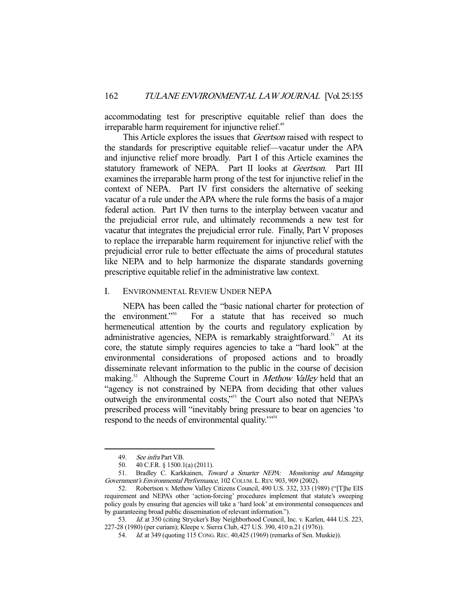accommodating test for prescriptive equitable relief than does the irreparable harm requirement for injunctive relief.<sup>49</sup>

This Article explores the issues that *Geertson* raised with respect to the standards for prescriptive equitable relief—vacatur under the APA and injunctive relief more broadly. Part I of this Article examines the statutory framework of NEPA. Part II looks at Geertson. Part III examines the irreparable harm prong of the test for injunctive relief in the context of NEPA. Part IV first considers the alternative of seeking vacatur of a rule under the APA where the rule forms the basis of a major federal action. Part IV then turns to the interplay between vacatur and the prejudicial error rule, and ultimately recommends a new test for vacatur that integrates the prejudicial error rule. Finally, Part V proposes to replace the irreparable harm requirement for injunctive relief with the prejudicial error rule to better effectuate the aims of procedural statutes like NEPA and to help harmonize the disparate standards governing prescriptive equitable relief in the administrative law context.

#### I. ENVIRONMENTAL REVIEW UNDER NEPA

 NEPA has been called the "basic national charter for protection of the environment."<sup>50</sup> For a statute that has received so much hermeneutical attention by the courts and regulatory explication by administrative agencies, NEPA is remarkably straightforward.<sup>51</sup> At its core, the statute simply requires agencies to take a "hard look" at the environmental considerations of proposed actions and to broadly disseminate relevant information to the public in the course of decision making.<sup>52</sup> Although the Supreme Court in *Methow Valley* held that an "agency is not constrained by NEPA from deciding that other values outweigh the environmental costs,"<sup>53</sup> the Court also noted that NEPA's prescribed process will "inevitably bring pressure to bear on agencies 'to respond to the needs of environmental quality."<sup>554</sup>

<sup>49.</sup> See infra Part V.B.

 <sup>50. 40</sup> C.F.R. § 1500.1(a) (2011).

<sup>51.</sup> Bradley C. Karkkainen, Toward a Smarter NEPA: Monitoring and Managing Government's Environmental Performance, 102 COLUM. L.REV. 903, 909 (2002).

 <sup>52.</sup> Robertson v. Methow Valley Citizens Council, 490 U.S. 332, 333 (1989) ("[T]he EIS requirement and NEPA's other 'action-forcing' procedures implement that statute's sweeping policy goals by ensuring that agencies will take a 'hard look' at environmental consequences and by guaranteeing broad public dissemination of relevant information.").

<sup>53.</sup> Id. at 350 (citing Strycker's Bay Neighborhood Council, Inc. v. Karlen, 444 U.S. 223, 227-28 (1980) (per curiam); Kleepe v. Sierra Club, 427 U.S. 390, 410 n.21 (1976)).

<sup>54.</sup> *Id.* at 349 (quoting 115 CONG. REC. 40,425 (1969) (remarks of Sen. Muskie)).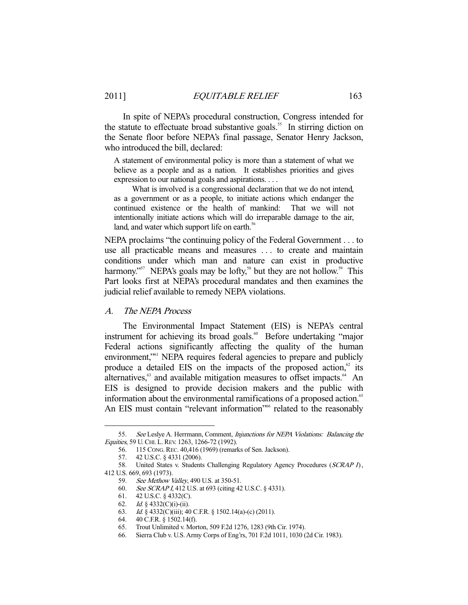In spite of NEPA's procedural construction, Congress intended for the statute to effectuate broad substantive goals.<sup>55</sup> In stirring diction on the Senate floor before NEPA's final passage, Senator Henry Jackson, who introduced the bill, declared:

A statement of environmental policy is more than a statement of what we believe as a people and as a nation. It establishes priorities and gives expression to our national goals and aspirations. . . .

 What is involved is a congressional declaration that we do not intend, as a government or as a people, to initiate actions which endanger the continued existence or the health of mankind: That we will not intentionally initiate actions which will do irreparable damage to the air, land, and water which support life on earth.<sup>56</sup>

NEPA proclaims "the continuing policy of the Federal Government . . . to use all practicable means and measures . . . to create and maintain conditions under which man and nature can exist in productive harmony."<sup>57</sup> NEPA's goals may be lofty,<sup>58</sup> but they are not hollow.<sup>59</sup> This Part looks first at NEPA's procedural mandates and then examines the judicial relief available to remedy NEPA violations.

## A. The NEPA Process

The Environmental Impact Statement (EIS) is NEPA's central instrument for achieving its broad goals.<sup>60</sup> Before undertaking "major Federal actions significantly affecting the quality of the human environment,<sup>"61</sup> NEPA requires federal agencies to prepare and publicly produce a detailed EIS on the impacts of the proposed action, $\frac{62}{15}$  its alternatives, $63$  and available mitigation measures to offset impacts. $64$  An EIS is designed to provide decision makers and the public with information about the environmental ramifications of a proposed action.<sup>65</sup> An EIS must contain "relevant information"<sup>66</sup> related to the reasonably

<sup>55.</sup> See Leslye A. Herrmann, Comment, *Injunctions for NEPA Violations: Balancing the* Equities, 59 U.CHI. L.REV. 1263, 1266-72 (1992).

 <sup>56. 115</sup> CONG.REC. 40,416 (1969) (remarks of Sen. Jackson).

 <sup>57. 42</sup> U.S.C. § 4331 (2006).

<sup>58.</sup> United States v. Students Challenging Regulatory Agency Procedures (SCRAP I), 412 U.S. 669, 693 (1973).

<sup>59.</sup> See Methow Valley, 490 U.S. at 350-51.

<sup>60.</sup> *See SCRAP I*, 412 U.S. at 693 (citing 42 U.S.C. § 4331).

 <sup>61. 42</sup> U.S.C. § 4332(C).

<sup>62.</sup> *Id.* § 4332(C)(i)-(ii).

 <sup>63.</sup> Id. § 4332(C)(iii); 40 C.F.R. § 1502.14(a)-(c) (2011).

 <sup>64. 40</sup> C.F.R. § 1502.14(f).

 <sup>65.</sup> Trout Unlimited v. Morton, 509 F.2d 1276, 1283 (9th Cir. 1974).

 <sup>66.</sup> Sierra Club v. U.S. Army Corps of Eng'rs, 701 F.2d 1011, 1030 (2d Cir. 1983).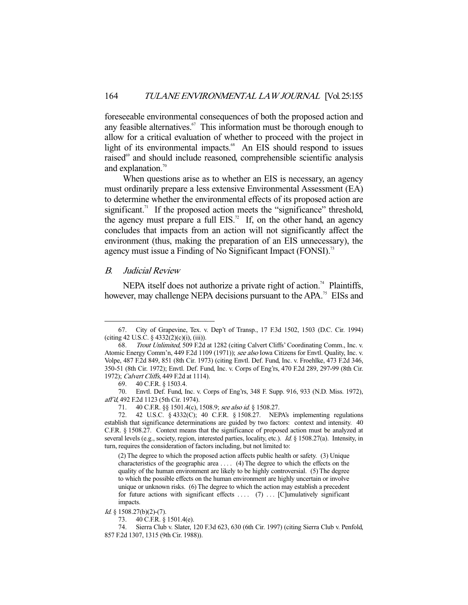foreseeable environmental consequences of both the proposed action and any feasible alternatives.<sup>67</sup> This information must be thorough enough to allow for a critical evaluation of whether to proceed with the project in light of its environmental impacts.<sup>68</sup> An EIS should respond to issues raised<sup>69</sup> and should include reasoned, comprehensible scientific analysis and explanation.<sup>70</sup>

 When questions arise as to whether an EIS is necessary, an agency must ordinarily prepare a less extensive Environmental Assessment (EA) to determine whether the environmental effects of its proposed action are significant.<sup> $71$ </sup> If the proposed action meets the "significance" threshold, the agency must prepare a full  $EIS<sup>72</sup>$ . If, on the other hand, an agency concludes that impacts from an action will not significantly affect the environment (thus, making the preparation of an EIS unnecessary), the agency must issue a Finding of No Significant Impact (FONSI).<sup>73</sup>

#### B. Judicial Review

-

NEPA itself does not authorize a private right of action.<sup>74</sup> Plaintiffs, however, may challenge NEPA decisions pursuant to the APA.<sup>75</sup> EISs and

Id. § 1508.27(b)(2)-(7).

 <sup>67.</sup> City of Grapevine, Tex. v. Dep't of Transp., 17 F.3d 1502, 1503 (D.C. Cir. 1994)  $(citing 42 U.S.C. § 4332(2)(c)(i), (iii)).$ 

 <sup>68.</sup> Trout Unlimited, 509 F.2d at 1282 (citing Calvert Cliffs' Coordinating Comm., Inc. v. Atomic Energy Comm'n, 449 F.2d 1109 (1971)); see also Iowa Citizens for Envtl. Quality, Inc. v. Volpe, 487 F.2d 849, 851 (8th Cir. 1973) (citing Envtl. Def. Fund, Inc. v. Froehlke, 473 F.2d 346, 350-51 (8th Cir. 1972); Envtl. Def. Fund, Inc. v. Corps of Eng'rs, 470 F.2d 289, 297-99 (8th Cir. 1972); *Calvert Cliffs*, 449 F.2d at 1114).

 <sup>69. 40</sup> C.F.R. § 1503.4.

 <sup>70.</sup> Envtl. Def. Fund, Inc. v. Corps of Eng'rs, 348 F. Supp. 916, 933 (N.D. Miss. 1972), aff'd, 492 F.2d 1123 (5th Cir. 1974).

<sup>71. 40</sup> C.F.R. §§ 1501.4(c), 1508.9; see also id. § 1508.27.

 <sup>72. 42</sup> U.S.C. § 4332(C); 40 C.F.R. § 1508.27. NEPA's implementing regulations establish that significance determinations are guided by two factors: context and intensity. 40 C.F.R. § 1508.27. Context means that the significance of proposed action must be analyzed at several levels (e.g., society, region, interested parties, locality, etc.). *Id.* § 1508.27(a). Intensity, in turn, requires the consideration of factors including, but not limited to:

<sup>(2)</sup> The degree to which the proposed action affects public health or safety. (3) Unique characteristics of the geographic area . . . . (4) The degree to which the effects on the quality of the human environment are likely to be highly controversial. (5) The degree to which the possible effects on the human environment are highly uncertain or involve unique or unknown risks. (6) The degree to which the action may establish a precedent for future actions with significant effects  $\dots$  (7)  $\dots$  [C]umulatively significant impacts.

 <sup>73. 40</sup> C.F.R. § 1501.4(e).

 <sup>74.</sup> Sierra Club v. Slater, 120 F.3d 623, 630 (6th Cir. 1997) (citing Sierra Club v. Penfold, 857 F.2d 1307, 1315 (9th Cir. 1988)).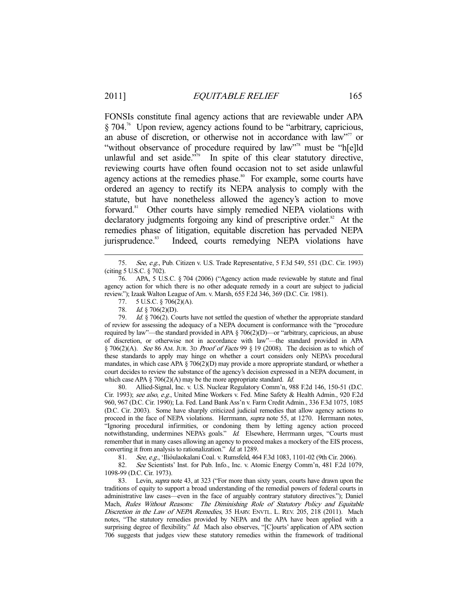FONSIs constitute final agency actions that are reviewable under APA § 704.76 Upon review, agency actions found to be "arbitrary, capricious, an abuse of discretion, or otherwise not in accordance with law"<sup>77</sup> or "without observance of procedure required by law"<sup>78</sup> must be "h[e]ld unlawful and set aside."<sup>79</sup> In spite of this clear statutory directive, reviewing courts have often found occasion not to set aside unlawful agency actions at the remedies phase.<sup>80</sup> For example, some courts have ordered an agency to rectify its NEPA analysis to comply with the statute, but have nonetheless allowed the agency's action to move forward.<sup>81</sup> Other courts have simply remedied NEPA violations with declaratory judgments forgoing any kind of prescriptive order.<sup>82</sup> At the remedies phase of litigation, equitable discretion has pervaded NEPA jurisprudence.<sup>83</sup> Indeed, courts remedying NEPA violations have

 79. Id. § 706(2). Courts have not settled the question of whether the appropriate standard of review for assessing the adequacy of a NEPA document is conformance with the "procedure required by law"—the standard provided in APA § 706(2)(D)—or "arbitrary, capricious, an abuse of discretion, or otherwise not in accordance with law"—the standard provided in APA  $§ 706(2)(A)$ . See 86 AM. JUR. 3D *Proof of Facts* 99  $§ 19$  (2008). The decision as to which of these standards to apply may hinge on whether a court considers only NEPA's procedural mandates, in which case APA  $\S 706(2)(D)$  may provide a more appropriate standard, or whether a court decides to review the substance of the agency's decision expressed in a NEPA document, in which case APA  $\S$  706(2)(A) may be the more appropriate standard. *Id.* 

 80. Allied-Signal, Inc. v. U.S. Nuclear Regulatory Comm'n, 988 F.2d 146, 150-51 (D.C. Cir. 1993); see also, e.g., United Mine Workers v. Fed. Mine Safety & Health Admin., 920 F.2d 960, 967 (D.C. Cir. 1990); La. Fed. Land Bank Ass'n v. Farm Credit Admin., 336 F.3d 1075, 1085 (D.C. Cir. 2003). Some have sharply criticized judicial remedies that allow agency actions to proceed in the face of NEPA violations. Herrmann, supra note 55, at 1270. Herrmann notes, "Ignoring procedural infirmities, or condoning them by letting agency action proceed notwithstanding, undermines NEPA's goals." Id. Elsewhere, Herrmann urges, "Courts must remember that in many cases allowing an agency to proceed makes a mockery of the EIS process, converting it from analysis to rationalization." Id. at 1289.

81. See, e.g., 'Ilio`ulao kalani Coal. v. Rumsfeld, 464 F.3d 1083, 1101-02 (9th Cir. 2006).

82. See Scientists' Inst. for Pub. Info., Inc. v. Atomic Energy Comm'n, 481 F.2d 1079, 1098-99 (D.C. Cir. 1973).

83. Levin, *supra* note 43, at 323 ("For more than sixty years, courts have drawn upon the traditions of equity to support a broad understanding of the remedial powers of federal courts in administrative law cases—even in the face of arguably contrary statutory directives."); Daniel Mach, Rules Without Reasons: The Diminishing Role of Statutory Policy and Equitable Discretion in the Law of NEPA Remedies, 35 HARV. ENVTL. L. REV. 205, 218 (2011). Mach notes, "The statutory remedies provided by NEPA and the APA have been applied with a surprising degree of flexibility." *Id.* Mach also observes, "[C]ourts' application of APA section 706 suggests that judges view these statutory remedies within the framework of traditional

<sup>75.</sup> See, e.g., Pub. Citizen v. U.S. Trade Representative, 5 F.3d 549, 551 (D.C. Cir. 1993) (citing 5 U.S.C. § 702).

 <sup>76.</sup> APA, 5 U.S.C. § 704 (2006) ("Agency action made reviewable by statute and final agency action for which there is no other adequate remedy in a court are subject to judicial review."); Izaak Walton League of Am. v. Marsh, 655 F.2d 346, 369 (D.C. Cir. 1981).

 <sup>77. 5</sup> U.S.C. § 706(2)(A).

 <sup>78.</sup> Id. § 706(2)(D).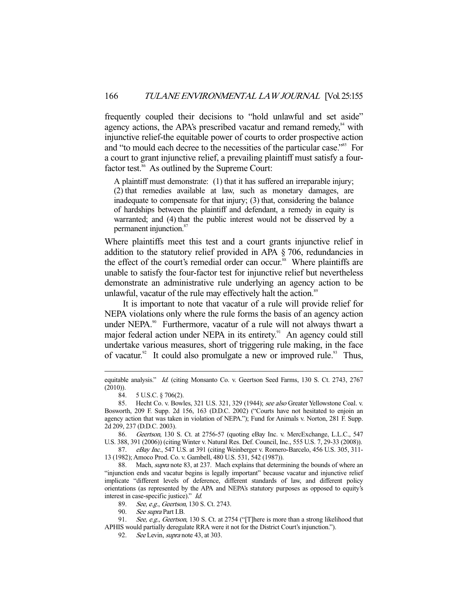frequently coupled their decisions to "hold unlawful and set aside" agency actions, the APA's prescribed vacatur and remand remedy,<sup>84</sup> with injunctive relief-the equitable power of courts to order prospective action and "to mould each decree to the necessities of the particular case."<sup>85</sup> For a court to grant injunctive relief, a prevailing plaintiff must satisfy a fourfactor test.<sup>86</sup> As outlined by the Supreme Court:

A plaintiff must demonstrate: (1) that it has suffered an irreparable injury; (2) that remedies available at law, such as monetary damages, are inadequate to compensate for that injury; (3) that, considering the balance of hardships between the plaintiff and defendant, a remedy in equity is warranted; and (4) that the public interest would not be disserved by a permanent injunction.<sup>87</sup>

Where plaintiffs meet this test and a court grants injunctive relief in addition to the statutory relief provided in APA § 706, redundancies in the effect of the court's remedial order can occur.<sup>88</sup> Where plaintiffs are unable to satisfy the four-factor test for injunctive relief but nevertheless demonstrate an administrative rule underlying an agency action to be unlawful, vacatur of the rule may effectively halt the action.<sup>89</sup>

 It is important to note that vacatur of a rule will provide relief for NEPA violations only where the rule forms the basis of an agency action under NEPA.<sup>90</sup> Furthermore, vacatur of a rule will not always thwart a major federal action under NEPA in its entirety.<sup>91</sup> An agency could still undertake various measures, short of triggering rule making, in the face of vacatur.<sup>92</sup> It could also promulgate a new or improved rule.<sup>93</sup> Thus,

-

87. eBay Inc., 547 U.S. at 391 (citing Weinberger v. Romero-Barcelo, 456 U.S. 305, 311-13 (1982); Amoco Prod. Co. v. Gambell, 480 U.S. 531, 542 (1987)).

 88. Mach, supra note 83, at 237. Mach explains that determining the bounds of where an "injunction ends and vacatur begins is legally important" because vacatur and injunctive relief implicate "different levels of deference, different standards of law, and different policy orientations (as represented by the APA and NEPA's statutory purposes as opposed to equity's interest in case-specific justice)." Id.

89. See, e.g., Geertson, 130 S. Ct. 2743.

90. See supra Part I.B.

91. See, e.g., Geertson, 130 S. Ct. at 2754 ("[T]here is more than a strong likelihood that APHIS would partially deregulate RRA were it not for the District Court's injunction.").

92. See Levin, *supra* note 43, at 303.

equitable analysis." Id. (citing Monsanto Co. v. Geertson Seed Farms, 130 S. Ct. 2743, 2767 (2010)). 84. 5 U.S.C. § 706(2).<br>85. Hecht Co. 5

Hecht Co. v. Bowles, 321 U.S. 321, 329 (1944); see also Greater Yellowstone Coal. v. Bosworth, 209 F. Supp. 2d 156, 163 (D.D.C. 2002) ("Courts have not hesitated to enjoin an agency action that was taken in violation of NEPA."); Fund for Animals v. Norton, 281 F. Supp. 2d 209, 237 (D.D.C. 2003).

<sup>86.</sup> Geertson, 130 S. Ct. at 2756-57 (quoting eBay Inc. v. MercExchange, L.L.C., 547 U.S. 388, 391 (2006)) (citing Winter v. Natural Res. Def. Council, Inc., 555 U.S. 7, 29-33 (2008)).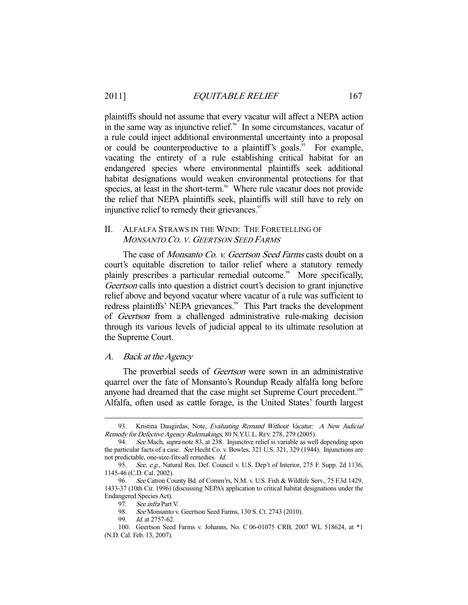plaintiffs should not assume that every vacatur will affect a NEPA action in the same way as injunctive relief. $94$  In some circumstances, vacatur of a rule could inject additional environmental uncertainty into a proposal or could be counterproductive to a plaintiff's goals.<sup>95</sup> For example, vacating the entirety of a rule establishing critical habitat for an endangered species where environmental plaintiffs seek additional habitat designations would weaken environmental protections for that species, at least in the short-term.<sup>96</sup> Where rule vacatur does not provide the relief that NEPA plaintiffs seek, plaintiffs will still have to rely on injunctive relief to remedy their grievances.<sup>97</sup>

# II. ALFALFA STRAWS IN THE WIND: THE FORETELLING OF MONSANTO CO. V. GEERTSON SEED FARMS

The case of *Monsanto Co. v. Geertson Seed Farms* casts doubt on a court's equitable discretion to tailor relief where a statutory remedy plainly prescribes a particular remedial outcome.<sup>98</sup> More specifically, Geertson calls into question a district court's decision to grant injunctive relief above and beyond vacatur where vacatur of a rule was sufficient to redress plaintiffs' NEPA grievances.<sup>99</sup> This Part tracks the development of Geertson from a challenged administrative rule-making decision through its various levels of judicial appeal to its ultimate resolution at the Supreme Court.

#### A. Back at the Agency

-

The proverbial seeds of *Geertson* were sown in an administrative quarrel over the fate of Monsanto's Roundup Ready alfalfa long before anyone had dreamed that the case might set Supreme Court precedent.<sup>100</sup> Alfalfa, often used as cattle forage, is the United States' fourth largest

<sup>93.</sup> Kristina Daugirdas, Note, Evaluating Remand Without Vacatur: A New Judicial Remedy for Defective Agency Rulemakings, 80 N.Y.U. L. REV. 278, 279 (2005).

<sup>94.</sup> See Mach, supra note 83, at 238. Injunctive relief is variable as well depending upon the particular facts of a case. See Hecht Co. v. Bowles, 321 U.S. 321, 329 (1944). Injunctions are not predictable, one-size-fits-all remedies. Id.

<sup>95.</sup> See, e.g., Natural Res. Def. Council v. U.S. Dep't of Interior, 275 F. Supp. 2d 1136, 1145-46 (C.D. Cal. 2002).

<sup>96.</sup> See Catron County Bd. of Comm'rs, N.M. v. U.S. Fish & Wildlife Serv., 75 F.3d 1429, 1433-37 (10th Cir. 1996) (discussing NEPA's application to critical habitat designations under the Endangered Species Act).

<sup>97.</sup> See infra Part V.

<sup>98.</sup> See Monsanto v. Geertson Seed Farms, 130 S. Ct. 2743 (2010).

 <sup>99.</sup> Id. at 2757-62.

 <sup>100.</sup> Geertson Seed Farms v. Johanns, No. C 06-01075 CRB, 2007 WL 518624, at \*1 (N.D. Cal. Feb. 13, 2007).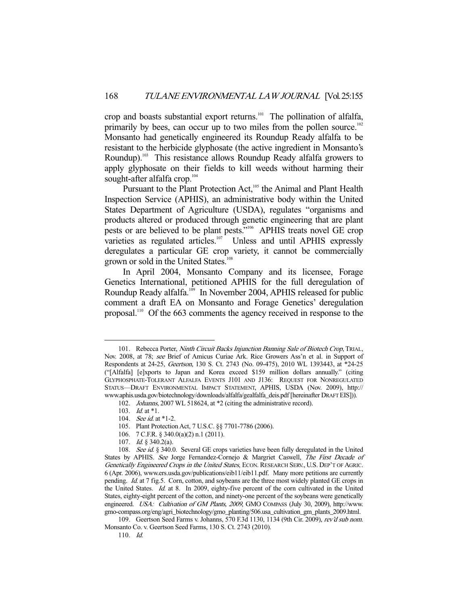crop and boasts substantial export returns.<sup>101</sup> The pollination of alfalfa, primarily by bees, can occur up to two miles from the pollen source.<sup>102</sup> Monsanto had genetically engineered its Roundup Ready alfalfa to be resistant to the herbicide glyphosate (the active ingredient in Monsanto's Roundup).<sup>103</sup> This resistance allows Roundup Ready alfalfa growers to apply glyphosate on their fields to kill weeds without harming their sought-after alfalfa crop.<sup>104</sup>

Pursuant to the Plant Protection Act,<sup>105</sup> the Animal and Plant Health Inspection Service (APHIS), an administrative body within the United States Department of Agriculture (USDA), regulates "organisms and products altered or produced through genetic engineering that are plant pests or are believed to be plant pests."106 APHIS treats novel GE crop varieties as regulated articles.<sup>107</sup> Unless and until APHIS expressly deregulates a particular GE crop variety, it cannot be commercially grown or sold in the United States.<sup>108</sup>

 In April 2004, Monsanto Company and its licensee, Forage Genetics International, petitioned APHIS for the full deregulation of Roundup Ready alfalfa.<sup>109</sup> In November 2004, APHIS released for public comment a draft EA on Monsanto and Forage Genetics' deregulation proposal.110 Of the 663 comments the agency received in response to the

-

106. 7 C.F.R. § 340.0(a)(2) n.1 (2011).

<sup>101.</sup> Rebecca Porter, Ninth Circuit Backs Injunction Banning Sale of Biotech Crop, TRIAL, Nov. 2008, at 78; see Brief of Amicus Curiae Ark. Rice Growers Ass'n et al. in Support of Respondents at 24-25, Geertson, 130 S. Ct. 2743 (No. 09-475), 2010 WL 1393443, at \*24-25 ("[Alfalfa] [e]xports to Japan and Korea exceed \$159 million dollars annually." (citing GLYPHOSPHATE-TOLERANT ALFALFA EVENTS J101 AND J136: REQUEST FOR NONREGULATED STATUS—DRAFT ENVIRONMENTAL IMPACT STATEMENT, APHIS, USDA (Nov. 2009), http:// www.aphis.usda.gov/biotechnology/downloads/alfalfa/gealfalfa\_deis.pdf [hereinafter DRAFT EIS])).

 <sup>102.</sup> Johanns, 2007 WL 518624, at \*2 (citing the administrative record).

<sup>103.</sup> *Id.* at \*1.

<sup>104.</sup> See id. at \*1-2.

 <sup>105.</sup> Plant Protection Act, 7 U.S.C. §§ 7701-7786 (2006).

 <sup>107.</sup> Id. § 340.2(a).

<sup>108.</sup> See id. § 340.0. Several GE crops varieties have been fully deregulated in the United States by APHIS. See Jorge Fernandez-Cornejo & Margriet Caswell, The First Decade of Genetically Engineered Crops in the United States, ECON. RESEARCH SERV., U.S. DEP'T OF AGRIC. 6 (Apr. 2006), www.ers.usda.gov/publications/eib11/eib11.pdf. Many more petitions are currently pending. Id. at 7 fig.5. Corn, cotton, and soybeans are the three most widely planted GE crops in the United States. Id. at 8. In 2009, eighty-five percent of the corn cultivated in the United States, eighty-eight percent of the cotton, and ninety-one percent of the soybeans were genetically engineered. USA: Cultivation of GM Plants, 2009, GMO COMPASS (July 30, 2009), http://www. gmo-compass.org/eng/agri\_biotechnology/gmo\_planting/506.usa\_cultivation\_gm\_plants\_2009.html.

<sup>109.</sup> Geertson Seed Farms v. Johanns, 570 F.3d 1130, 1134 (9th Cir. 2009), rev'd sub nom. Monsanto Co. v. Geertson Seed Farms, 130 S. Ct. 2743 (2010).

 <sup>110.</sup> Id.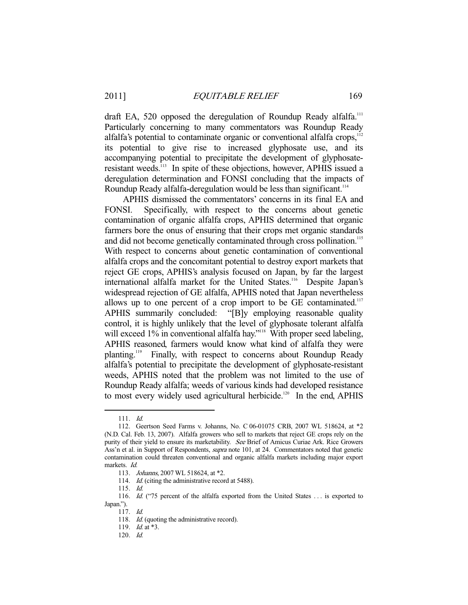draft EA, 520 opposed the deregulation of Roundup Ready alfalfa.<sup>111</sup> Particularly concerning to many commentators was Roundup Ready alfalfa's potential to contaminate organic or conventional alfalfa crops,<sup>112</sup> its potential to give rise to increased glyphosate use, and its accompanying potential to precipitate the development of glyphosateresistant weeds.113 In spite of these objections, however, APHIS issued a deregulation determination and FONSI concluding that the impacts of Roundup Ready alfalfa-deregulation would be less than significant.<sup>114</sup>

 APHIS dismissed the commentators' concerns in its final EA and FONSI. Specifically, with respect to the concerns about genetic contamination of organic alfalfa crops, APHIS determined that organic farmers bore the onus of ensuring that their crops met organic standards and did not become genetically contaminated through cross pollination.<sup>115</sup> With respect to concerns about genetic contamination of conventional alfalfa crops and the concomitant potential to destroy export markets that reject GE crops, APHIS's analysis focused on Japan, by far the largest international alfalfa market for the United States.<sup>116</sup> Despite Japan's widespread rejection of GE alfalfa, APHIS noted that Japan nevertheless allows up to one percent of a crop import to be  $GE$  contaminated.<sup>117</sup> APHIS summarily concluded: "[B]y employing reasonable quality control, it is highly unlikely that the level of glyphosate tolerant alfalfa will exceed 1% in conventional alfalfa hay."<sup>118</sup> With proper seed labeling, APHIS reasoned, farmers would know what kind of alfalfa they were planting.<sup>119</sup> Finally, with respect to concerns about Roundup Ready alfalfa's potential to precipitate the development of glyphosate-resistant weeds, APHIS noted that the problem was not limited to the use of Roundup Ready alfalfa; weeds of various kinds had developed resistance to most every widely used agricultural herbicide.<sup>120</sup> In the end, APHIS

 <sup>111.</sup> Id.

 <sup>112.</sup> Geertson Seed Farms v. Johanns, No. C 06-01075 CRB, 2007 WL 518624, at \*2 (N.D. Cal. Feb. 13, 2007). Alfalfa growers who sell to markets that reject GE crops rely on the purity of their yield to ensure its marketability. See Brief of Amicus Curiae Ark. Rice Growers Ass'n et al. in Support of Respondents, supra note 101, at 24. Commentators noted that genetic contamination could threaten conventional and organic alfalfa markets including major export markets. Id.

<sup>113.</sup> *Johanns*, 2007 WL 518624, at \*2.

<sup>114.</sup> *Id.* (citing the administrative record at 5488).

 <sup>115.</sup> Id.

<sup>116.</sup> Id. ("75 percent of the alfalfa exported from the United States ... is exported to Japan.").

 <sup>117.</sup> Id.

<sup>118.</sup> *Id.* (quoting the administrative record).

<sup>119.</sup> *Id.* at \*3.

 <sup>120.</sup> Id.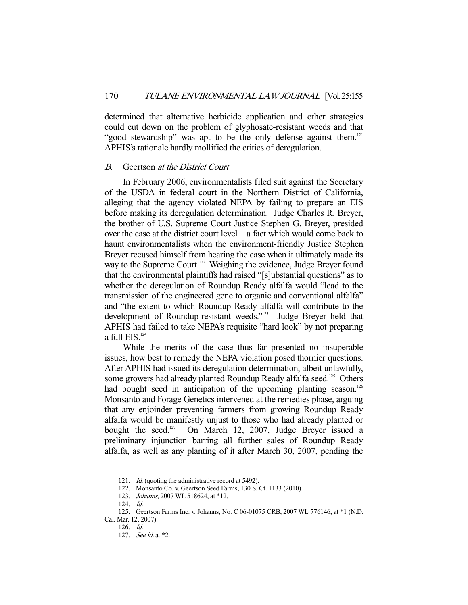determined that alternative herbicide application and other strategies could cut down on the problem of glyphosate-resistant weeds and that "good stewardship" was apt to be the only defense against them.<sup>121</sup> APHIS's rationale hardly mollified the critics of deregulation.

#### B. Geertson at the District Court

 In February 2006, environmentalists filed suit against the Secretary of the USDA in federal court in the Northern District of California, alleging that the agency violated NEPA by failing to prepare an EIS before making its deregulation determination. Judge Charles R. Breyer, the brother of U.S. Supreme Court Justice Stephen G. Breyer, presided over the case at the district court level—a fact which would come back to haunt environmentalists when the environment-friendly Justice Stephen Breyer recused himself from hearing the case when it ultimately made its way to the Supreme Court.<sup>122</sup> Weighing the evidence, Judge Breyer found that the environmental plaintiffs had raised "[s]ubstantial questions" as to whether the deregulation of Roundup Ready alfalfa would "lead to the transmission of the engineered gene to organic and conventional alfalfa" and "the extent to which Roundup Ready alfalfa will contribute to the development of Roundup-resistant weeds."<sup>123</sup> Judge Breyer held that APHIS had failed to take NEPA's requisite "hard look" by not preparing a full EIS.<sup>124</sup>

 While the merits of the case thus far presented no insuperable issues, how best to remedy the NEPA violation posed thornier questions. After APHIS had issued its deregulation determination, albeit unlawfully, some growers had already planted Roundup Ready alfalfa seed.<sup>125</sup> Others had bought seed in anticipation of the upcoming planting season.<sup>126</sup> Monsanto and Forage Genetics intervened at the remedies phase, arguing that any enjoinder preventing farmers from growing Roundup Ready alfalfa would be manifestly unjust to those who had already planted or bought the seed. $127$  On March 12, 2007, Judge Breyer issued a preliminary injunction barring all further sales of Roundup Ready alfalfa, as well as any planting of it after March 30, 2007, pending the

<sup>121.</sup> *Id.* (quoting the administrative record at 5492).

 <sup>122.</sup> Monsanto Co. v. Geertson Seed Farms, 130 S. Ct. 1133 (2010).

<sup>123.</sup> *Johanns*, 2007 WL 518624, at \*12.

 <sup>124.</sup> Id.

 <sup>125.</sup> Geertson Farms Inc. v. Johanns, No. C 06-01075 CRB, 2007 WL 776146, at \*1 (N.D.

Cal. Mar. 12, 2007).

 <sup>126.</sup> Id.

 <sup>127.</sup> See id. at \*2.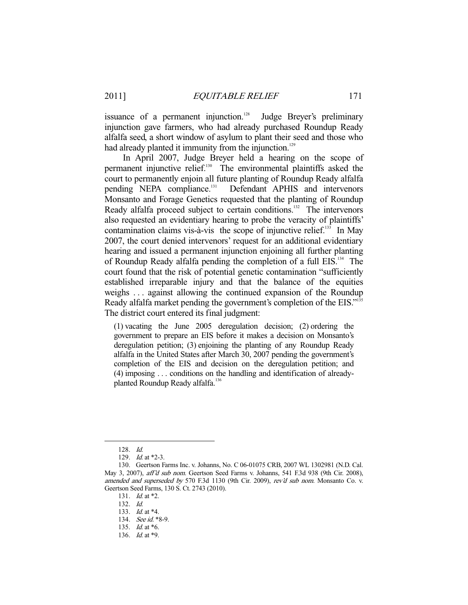issuance of a permanent injunction.<sup>128</sup> Judge Breyer's preliminary injunction gave farmers, who had already purchased Roundup Ready alfalfa seed, a short window of asylum to plant their seed and those who had already planted it immunity from the injunction.<sup>129</sup>

 In April 2007, Judge Breyer held a hearing on the scope of permanent injunctive relief.<sup>130</sup> The environmental plaintiffs asked the court to permanently enjoin all future planting of Roundup Ready alfalfa pending NEPA compliance.<sup>131</sup> Defendant APHIS and intervenors Monsanto and Forage Genetics requested that the planting of Roundup Ready alfalfa proceed subject to certain conditions.<sup>132</sup> The intervenors also requested an evidentiary hearing to probe the veracity of plaintiffs' contamination claims vis-à-vis the scope of injunctive relief. $^{133}$  In May 2007, the court denied intervenors' request for an additional evidentiary hearing and issued a permanent injunction enjoining all further planting of Roundup Ready alfalfa pending the completion of a full EIS.<sup>134</sup> The court found that the risk of potential genetic contamination "sufficiently established irreparable injury and that the balance of the equities weighs . . . against allowing the continued expansion of the Roundup Ready alfalfa market pending the government's completion of the EIS."<sup>135</sup> The district court entered its final judgment:

(1) vacating the June 2005 deregulation decision; (2) ordering the government to prepare an EIS before it makes a decision on Monsanto's deregulation petition; (3) enjoining the planting of any Roundup Ready alfalfa in the United States after March 30, 2007 pending the government's completion of the EIS and decision on the deregulation petition; and (4) imposing . . . conditions on the handling and identification of alreadyplanted Roundup Ready alfalfa.<sup>136</sup>

 <sup>128.</sup> Id.

<sup>129.</sup> *Id.* at \*2-3.

 <sup>130.</sup> Geertson Farms Inc. v. Johanns, No. C 06-01075 CRB, 2007 WL 1302981 (N.D. Cal. May 3, 2007), aff'd sub nom. Geertson Seed Farms v. Johanns, 541 F.3d 938 (9th Cir. 2008), amended and superseded by 570 F.3d 1130 (9th Cir. 2009), rev'd sub nom. Monsanto Co. v. Geertson Seed Farms, 130 S. Ct. 2743 (2010).

<sup>131.</sup> *Id.* at \*2.

 <sup>132.</sup> Id.

<sup>133.</sup> *Id.* at \*4.

<sup>134.</sup> See id. \*8-9.

<sup>135.</sup> *Id.* at \*6.

 <sup>136.</sup> Id. at \*9.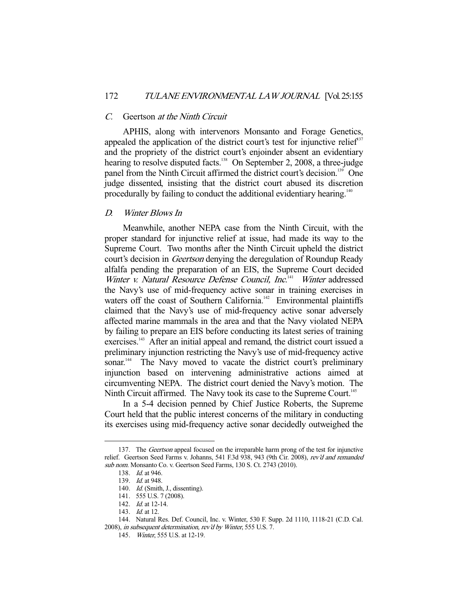#### C. Geertson at the Ninth Circuit

 APHIS, along with intervenors Monsanto and Forage Genetics, appealed the application of the district court's test for injunctive relief<sup>37</sup> and the propriety of the district court's enjoinder absent an evidentiary hearing to resolve disputed facts.<sup>138</sup> On September 2, 2008, a three-judge panel from the Ninth Circuit affirmed the district court's decision.<sup>139</sup> One judge dissented, insisting that the district court abused its discretion procedurally by failing to conduct the additional evidentiary hearing.<sup>140</sup>

#### D. Winter Blows In

 Meanwhile, another NEPA case from the Ninth Circuit, with the proper standard for injunctive relief at issue, had made its way to the Supreme Court. Two months after the Ninth Circuit upheld the district court's decision in *Geertson* denying the deregulation of Roundup Ready alfalfa pending the preparation of an EIS, the Supreme Court decided Winter v. Natural Resource Defense Council, Inc.<sup>141</sup> Winter addressed the Navy's use of mid-frequency active sonar in training exercises in waters off the coast of Southern California.<sup>142</sup> Environmental plaintiffs claimed that the Navy's use of mid-frequency active sonar adversely affected marine mammals in the area and that the Navy violated NEPA by failing to prepare an EIS before conducting its latest series of training exercises.<sup>143</sup> After an initial appeal and remand, the district court issued a preliminary injunction restricting the Navy's use of mid-frequency active sonar.<sup>144</sup> The Navy moved to vacate the district court's preliminary injunction based on intervening administrative actions aimed at circumventing NEPA. The district court denied the Navy's motion. The Ninth Circuit affirmed. The Navy took its case to the Supreme Court.<sup>145</sup>

 In a 5-4 decision penned by Chief Justice Roberts, the Supreme Court held that the public interest concerns of the military in conducting its exercises using mid-frequency active sonar decidedly outweighed the

<sup>137.</sup> The *Geertson* appeal focused on the irreparable harm prong of the test for injunctive relief. Geertson Seed Farms v. Johanns, 541 F.3d 938, 943 (9th Cir. 2008), rev'd and remanded sub nom. Monsanto Co. v. Geertson Seed Farms, 130 S. Ct. 2743 (2010).

 <sup>138.</sup> Id. at 946.

<sup>139.</sup> *Id.* at 948.

<sup>140.</sup> Id. (Smith, J., dissenting).

 <sup>141. 555</sup> U.S. 7 (2008).

 <sup>142.</sup> Id. at 12-14.

<sup>143.</sup> *Id.* at 12.

 <sup>144.</sup> Natural Res. Def. Council, Inc. v. Winter, 530 F. Supp. 2d 1110, 1118-21 (C.D. Cal. 2008), in subsequent determination, rev'd by Winter, 555 U.S. 7.

 <sup>145.</sup> Winter, 555 U.S. at 12-19.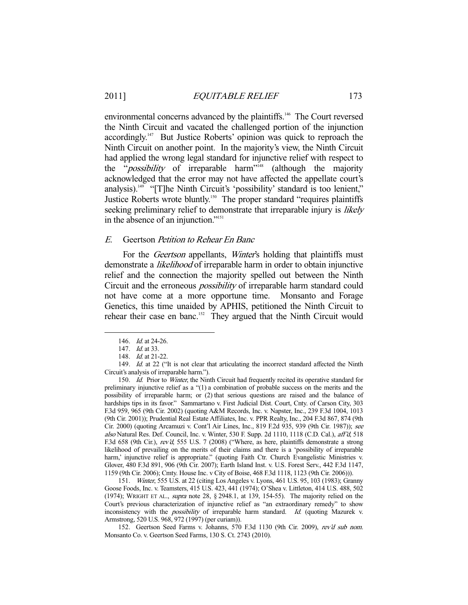environmental concerns advanced by the plaintiffs.<sup>146</sup> The Court reversed the Ninth Circuit and vacated the challenged portion of the injunction accordingly.<sup>147</sup> But Justice Roberts' opinion was quick to reproach the Ninth Circuit on another point. In the majority's view, the Ninth Circuit had applied the wrong legal standard for injunctive relief with respect to the "*possibility* of irreparable harm<sup>"148</sup> (although the majority acknowledged that the error may not have affected the appellate court's analysis).<sup>149</sup> "[T]he Ninth Circuit's 'possibility' standard is too lenient," Justice Roberts wrote bluntly.<sup>150</sup> The proper standard "requires plaintiffs" seeking preliminary relief to demonstrate that irreparable injury is likely in the absence of an injunction."151

#### E. Geertson Petition to Rehear En Banc

For the *Geertson* appellants, *Winter's* holding that plaintiffs must demonstrate a *likelihood* of irreparable harm in order to obtain injunctive relief and the connection the majority spelled out between the Ninth Circuit and the erroneous possibility of irreparable harm standard could not have come at a more opportune time. Monsanto and Forage Genetics, this time unaided by APHIS, petitioned the Ninth Circuit to rehear their case en banc.<sup>152</sup> They argued that the Ninth Circuit would

-

 151. Winter, 555 U.S. at 22 (citing Los Angeles v. Lyons, 461 U.S. 95, 103 (1983); Granny Goose Foods, Inc. v. Teamsters, 415 U.S. 423, 441 (1974); O'Shea v. Littleton, 414 U.S. 488, 502 (1974); WRIGHT ET AL., supra note 28, § 2948.1, at 139, 154-55). The majority relied on the Court's previous characterization of injunctive relief as "an extraordinary remedy" to show inconsistency with the *possibility* of irreparable harm standard. Id. (quoting Mazurek v. Armstrong, 520 U.S. 968, 972 (1997) (per curiam)).

 152. Geertson Seed Farms v. Johanns, 570 F.3d 1130 (9th Cir. 2009), rev'd sub nom. Monsanto Co. v. Geertson Seed Farms, 130 S. Ct. 2743 (2010).

 <sup>146.</sup> Id. at 24-26.

 <sup>147.</sup> Id. at 33.

<sup>148.</sup> *Id.* at 21-22.

<sup>149.</sup> Id. at 22 ("It is not clear that articulating the incorrect standard affected the Ninth Circuit's analysis of irreparable harm.").

<sup>150.</sup> Id. Prior to Winter, the Ninth Circuit had frequently recited its operative standard for preliminary injunctive relief as a "(1) a combination of probable success on the merits and the possibility of irreparable harm; or (2) that serious questions are raised and the balance of hardships tips in its favor." Sammartano v. First Judicial Dist. Court, Cnty. of Carson City, 303 F.3d 959, 965 (9th Cir. 2002) (quoting A&M Records, Inc. v. Napster, Inc., 239 F.3d 1004, 1013 (9th Cir. 2001)); Prudential Real Estate Affiliates, Inc. v. PPR Realty, Inc., 204 F.3d 867, 874 (9th Cir. 2000) (quoting Arcamuzi v. Cont'l Air Lines, Inc., 819 F.2d 935, 939 (9th Cir. 1987)); see also Natural Res. Def. Council, Inc. v. Winter, 530 F. Supp. 2d 1110, 1118 (C.D. Cal.), aff'd, 518 F.3d 658 (9th Cir.), rev'd, 555 U.S. 7 (2008) ("Where, as here, plaintiffs demonstrate a strong likelihood of prevailing on the merits of their claims and there is a 'possibility of irreparable harm,' injunctive relief is appropriate." (quoting Faith Ctr. Church Evangelistic Ministries v. Glover, 480 F.3d 891, 906 (9th Cir. 2007); Earth Island Inst. v. U.S. Forest Serv., 442 F.3d 1147, 1159 (9th Cir. 2006); Cmty. House Inc. v City of Boise, 468 F.3d 1118, 1123 (9th Cir. 2006))).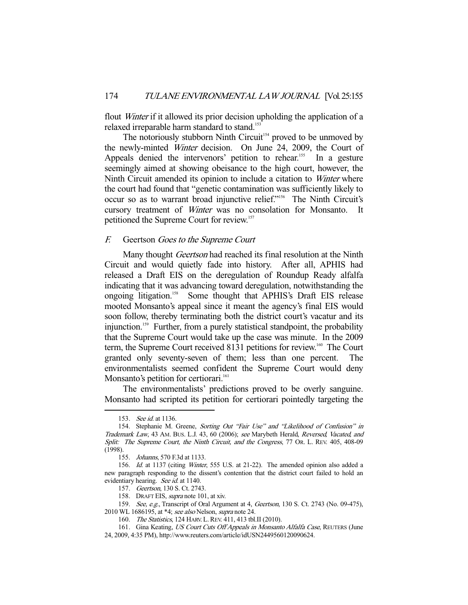flout *Winter* if it allowed its prior decision upholding the application of a relaxed irreparable harm standard to stand.<sup>153</sup>

The notoriously stubborn Ninth Circuit<sup>154</sup> proved to be unmoved by the newly-minted Winter decision. On June 24, 2009, the Court of Appeals denied the intervenors' petition to rehear.<sup>155</sup> In a gesture seemingly aimed at showing obeisance to the high court, however, the Ninth Circuit amended its opinion to include a citation to Winter where the court had found that "genetic contamination was sufficiently likely to occur so as to warrant broad injunctive relief."156 The Ninth Circuit's cursory treatment of Winter was no consolation for Monsanto. petitioned the Supreme Court for review.157

#### F. Geertson Goes to the Supreme Court

Many thought *Geertson* had reached its final resolution at the Ninth Circuit and would quietly fade into history. After all, APHIS had released a Draft EIS on the deregulation of Roundup Ready alfalfa indicating that it was advancing toward deregulation, notwithstanding the ongoing litigation.158 Some thought that APHIS's Draft EIS release mooted Monsanto's appeal since it meant the agency's final EIS would soon follow, thereby terminating both the district court's vacatur and its injunction.<sup>159</sup> Further, from a purely statistical standpoint, the probability that the Supreme Court would take up the case was minute. In the 2009 term, the Supreme Court received 8131 petitions for review.<sup>160</sup> The Court granted only seventy-seven of them; less than one percent. The environmentalists seemed confident the Supreme Court would deny Monsanto's petition for certiorari.<sup>161</sup>

 The environmentalists' predictions proved to be overly sanguine. Monsanto had scripted its petition for certiorari pointedly targeting the

<sup>153.</sup> *See id.* at 1136.

<sup>154.</sup> Stephanie M. Greene, Sorting Out "Fair Use" and "Likelihood of Confusion" in Trademark Law, 43 AM. BUS. L.J. 43, 60 (2006); see Marybeth Herald, Reversed, Vacated, and Split: The Supreme Court, the Ninth Circuit, and the Congress, 77 OR. L. REV. 405, 408-09 (1998).

 <sup>155.</sup> Johanns, 570 F.3d at 1133.

 <sup>156.</sup> Id. at 1137 (citing Winter, 555 U.S. at 21-22). The amended opinion also added a new paragraph responding to the dissent's contention that the district court failed to hold an evidentiary hearing. See id. at 1140.

 <sup>157.</sup> Geertson, 130 S. Ct. 2743.

<sup>158.</sup> DRAFT EIS, supra note 101, at xiv.

<sup>159.</sup> See, e.g., Transcript of Oral Argument at 4, Geertson, 130 S. Ct. 2743 (No. 09-475), 2010 WL 1686195, at \*4; see also Nelson, supra note 24.

<sup>160.</sup> The Statistics, 124 HARV. L. REV. 411, 413 tbl. II (2010).

<sup>161.</sup> Gina Keating, US Court Cuts Off Appeals in Monsanto Alfalfa Case, REUTERS (June 24, 2009, 4:35 PM), http://www.reuters.com/article/idUSN2449560120090624.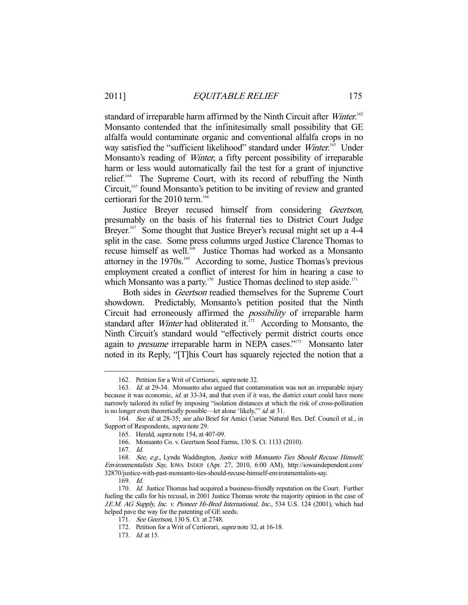standard of irreparable harm affirmed by the Ninth Circuit after Winter.<sup>162</sup> Monsanto contended that the infinitesimally small possibility that GE alfalfa would contaminate organic and conventional alfalfa crops in no way satisfied the "sufficient likelihood" standard under Winter.<sup>163</sup> Under Monsanto's reading of Winter, a fifty percent possibility of irreparable harm or less would automatically fail the test for a grant of injunctive relief.<sup>164</sup> The Supreme Court, with its record of rebuffing the Ninth Circuit,<sup>165</sup> found Monsanto's petition to be inviting of review and granted certiorari for the 2010 term.<sup>166</sup>

Justice Breyer recused himself from considering Geertson, presumably on the basis of his fraternal ties to District Court Judge Breyer.<sup>167</sup> Some thought that Justice Breyer's recusal might set up a 4-4 split in the case. Some press columns urged Justice Clarence Thomas to recuse himself as well.<sup>168</sup> Justice Thomas had worked as a Monsanto attorney in the  $1970s^{169}$  According to some, Justice Thomas's previous employment created a conflict of interest for him in hearing a case to which Monsanto was a party.<sup>170</sup> Justice Thomas declined to step aside.<sup>171</sup>

 Both sides in Geertson readied themselves for the Supreme Court showdown. Predictably, Monsanto's petition posited that the Ninth Circuit had erroneously affirmed the *possibility* of irreparable harm standard after *Winter* had obliterated it.<sup>172</sup> According to Monsanto, the Ninth Circuit's standard would "effectively permit district courts once again to *presume* irreparable harm in NEPA cases."<sup>173</sup> Monsanto later noted in its Reply, "[T]his Court has squarely rejected the notion that a

 <sup>162.</sup> Petition for a Writ of Certiorari, supra note 32.

<sup>163.</sup> Id. at 29-34. Monsanto also argued that contamination was not an irreparable injury because it was economic, id. at 33-34, and that even if it was, the district court could have more narrowly tailored its relief by imposing "isolation distances at which the risk of cross-pollination is no longer even theoretically possible—let alone 'likely,'" id. at 31.

<sup>164.</sup> See id. at 28-35; see also Brief for Amici Curiae Natural Res. Def. Council et al., in Support of Respondents, supra note 29.

 <sup>165.</sup> Herald, supra note 154, at 407-09.

 <sup>166.</sup> Monsanto Co. v. Geertson Seed Farms, 130 S. Ct. 1133 (2010).

 <sup>167.</sup> Id.

 <sup>168.</sup> See, e.g., Lynda Waddington, Justice with Monsanto Ties Should Recuse Himself, Environmentalists Say, IOWA INDEP. (Apr. 27, 2010, 6:00 AM), http://iowaindependent.com/ 32870/justice-with-past-monsanto-ties-should-recuse-himself-environmentalists-say.

 <sup>169.</sup> Id.

<sup>170.</sup> Id. Justice Thomas had acquired a business-friendly reputation on the Court. Further fueling the calls for his recusal, in 2001 Justice Thomas wrote the majority opinion in the case of J.E.M. AG Supply, Inc. v. Pioneer Hi-Bred International, Inc., 534 U.S. 124 (2001), which had helped pave the way for the patenting of GE seeds.

<sup>171.</sup> See Geertson, 130 S. Ct. at 2748.

 <sup>172.</sup> Petition for a Writ of Certiorari, supra note 32, at 16-18.

<sup>173.</sup> *Id.* at 15.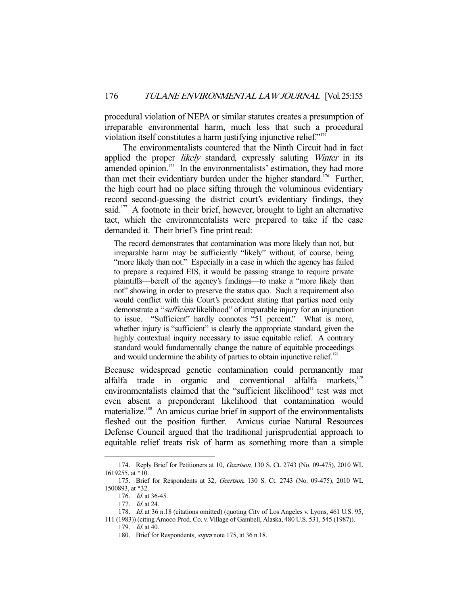procedural violation of NEPA or similar statutes creates a presumption of irreparable environmental harm, much less that such a procedural violation itself constitutes a harm justifying injunctive relief."<sup>17</sup>

 The environmentalists countered that the Ninth Circuit had in fact applied the proper *likely* standard, expressly saluting *Winter* in its amended opinion.<sup>175</sup> In the environmentalists' estimation, they had more than met their evidentiary burden under the higher standard.<sup>176</sup> Further, the high court had no place sifting through the voluminous evidentiary record second-guessing the district court's evidentiary findings, they said.<sup>177</sup> A footnote in their brief, however, brought to light an alternative tact, which the environmentalists were prepared to take if the case demanded it. Their brief's fine print read:

The record demonstrates that contamination was more likely than not, but irreparable harm may be sufficiently "likely" without, of course, being "more likely than not." Especially in a case in which the agency has failed to prepare a required EIS, it would be passing strange to require private plaintiffs—bereft of the agency's findings—to make a "more likely than not" showing in order to preserve the status quo. Such a requirement also would conflict with this Court's precedent stating that parties need only demonstrate a "*sufficient* likelihood" of irreparable injury for an injunction to issue. "Sufficient" hardly connotes "51 percent." What is more, whether injury is "sufficient" is clearly the appropriate standard, given the highly contextual inquiry necessary to issue equitable relief. A contrary standard would fundamentally change the nature of equitable proceedings and would undermine the ability of parties to obtain injunctive relief. $178$ 

Because widespread genetic contamination could permanently mar alfalfa trade in organic and conventional alfalfa markets,<sup>179</sup> environmentalists claimed that the "sufficient likelihood" test was met even absent a preponderant likelihood that contamination would materialize.<sup>180</sup> An amicus curiae brief in support of the environmentalists fleshed out the position further. Amicus curiae Natural Resources Defense Council argued that the traditional jurisprudential approach to equitable relief treats risk of harm as something more than a simple

<sup>174.</sup> Reply Brief for Petitioners at 10, Geertson, 130 S. Ct. 2743 (No. 09-475), 2010 WL 1619255, at \*10.

 <sup>175.</sup> Brief for Respondents at 32, Geertson, 130 S. Ct. 2743 (No. 09-475), 2010 WL 1500893, at \*32.

 <sup>176.</sup> Id. at 36-45.

<sup>177.</sup> *Id.* at 24.

<sup>178.</sup> Id. at 36 n.18 (citations omitted) (quoting City of Los Angeles v. Lyons, 461 U.S. 95,

<sup>111 (1983)) (</sup>citing Amoco Prod. Co. v. Village of Gambell, Alaska, 480 U.S. 531, 545 (1987)).

 <sup>179.</sup> Id. at 40.

<sup>180.</sup> Brief for Respondents, *supra* note 175, at 36 n.18.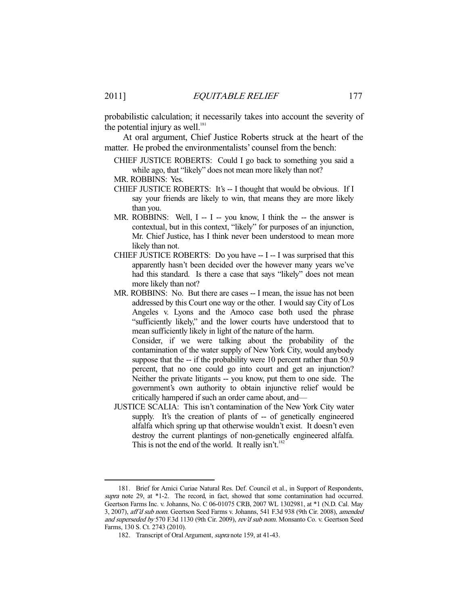probabilistic calculation; it necessarily takes into account the severity of the potential injury as well. $181$ 

 At oral argument, Chief Justice Roberts struck at the heart of the matter. He probed the environmentalists' counsel from the bench:

- CHIEF JUSTICE ROBERTS: Could I go back to something you said a while ago, that "likely" does not mean more likely than not? MR. ROBBINS: Yes.
- CHIEF JUSTICE ROBERTS: It's -- I thought that would be obvious. If I
- say your friends are likely to win, that means they are more likely than you.
- MR. ROBBINS: Well,  $I I you know, I think the the answer is$ contextual, but in this context, "likely" for purposes of an injunction, Mr. Chief Justice, has I think never been understood to mean more likely than not.
- CHIEF JUSTICE ROBERTS: Do you have -- I -- I was surprised that this apparently hasn't been decided over the however many years we've had this standard. Is there a case that says "likely" does not mean more likely than not?
- MR. ROBBINS: No. But there are cases -- I mean, the issue has not been addressed by this Court one way or the other. I would say City of Los Angeles v. Lyons and the Amoco case both used the phrase "sufficiently likely," and the lower courts have understood that to mean sufficiently likely in light of the nature of the harm.

 Consider, if we were talking about the probability of the contamination of the water supply of New York City, would anybody suppose that the -- if the probability were 10 percent rather than 50.9 percent, that no one could go into court and get an injunction? Neither the private litigants -- you know, put them to one side. The government's own authority to obtain injunctive relief would be critically hampered if such an order came about, and—

JUSTICE SCALIA: This isn't contamination of the New York City water supply. It's the creation of plants of -- of genetically engineered alfalfa which spring up that otherwise wouldn't exist. It doesn't even destroy the current plantings of non-genetically engineered alfalfa. This is not the end of the world. It really isn't.<sup>182</sup>

 <sup>181.</sup> Brief for Amici Curiae Natural Res. Def. Council et al., in Support of Respondents, supra note 29, at \*1-2. The record, in fact, showed that some contamination had occurred. Geertson Farms Inc. v. Johanns, No. C 06-01075 CRB, 2007 WL 1302981, at \*1 (N.D. Cal. May 3, 2007), aff'd sub nom. Geertson Seed Farms v. Johanns, 541 F.3d 938 (9th Cir. 2008), amended and superseded by 570 F.3d 1130 (9th Cir. 2009), rev'd sub nom. Monsanto Co. v. Geertson Seed Farms, 130 S. Ct. 2743 (2010).

 <sup>182.</sup> Transcript of Oral Argument, supra note 159, at 41-43.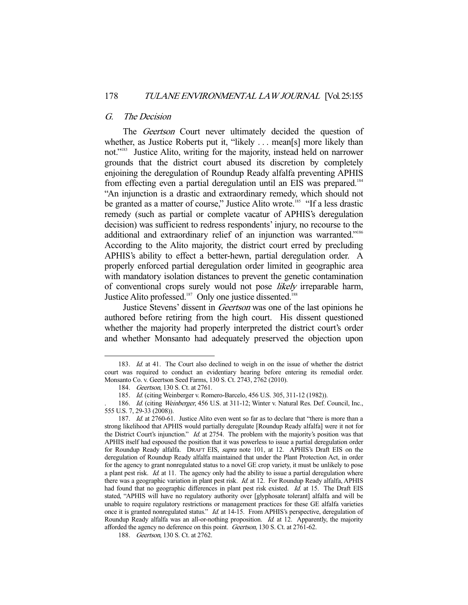#### G. The Decision

The *Geertson* Court never ultimately decided the question of whether, as Justice Roberts put it, "likely ... mean[s] more likely than not."183 Justice Alito, writing for the majority, instead held on narrower grounds that the district court abused its discretion by completely enjoining the deregulation of Roundup Ready alfalfa preventing APHIS from effecting even a partial deregulation until an EIS was prepared.184 "An injunction is a drastic and extraordinary remedy, which should not be granted as a matter of course," Justice Alito wrote.<sup>185</sup> "If a less drastic remedy (such as partial or complete vacatur of APHIS's deregulation decision) was sufficient to redress respondents' injury, no recourse to the additional and extraordinary relief of an injunction was warranted."<sup>186</sup> According to the Alito majority, the district court erred by precluding APHIS's ability to effect a better-hewn, partial deregulation order. A properly enforced partial deregulation order limited in geographic area with mandatory isolation distances to prevent the genetic contamination of conventional crops surely would not pose likely irreparable harm. Justice Alito professed.<sup>187</sup> Only one justice dissented.<sup>188</sup>

 Justice Stevens' dissent in Geertson was one of the last opinions he authored before retiring from the high court. His dissent questioned whether the majority had properly interpreted the district court's order and whether Monsanto had adequately preserved the objection upon

<sup>183.</sup> Id. at 41. The Court also declined to weigh in on the issue of whether the district court was required to conduct an evidentiary hearing before entering its remedial order. Monsanto Co. v. Geertson Seed Farms, 130 S. Ct. 2743, 2762 (2010).

 <sup>184.</sup> Geertson, 130 S. Ct. at 2761.

 <sup>185.</sup> Id. (citing Weinberger v. Romero-Barcelo, 456 U.S. 305, 311-12 (1982)).

<sup>186.</sup> Id. (citing Weinberger, 456 U.S. at 311-12; Winter v. Natural Res. Def. Council, Inc., 555 U.S. 7, 29-33 (2008)).

<sup>187.</sup> Id. at 2760-61. Justice Alito even went so far as to declare that "there is more than a strong likelihood that APHIS would partially deregulate [Roundup Ready alfalfa] were it not for the District Court's injunction." Id. at 2754. The problem with the majority's position was that APHIS itself had espoused the position that it was powerless to issue a partial deregulation order for Roundup Ready alfalfa. DRAFT EIS, supra note 101, at 12. APHIS's Draft EIS on the deregulation of Roundup Ready alfalfa maintained that under the Plant Protection Act, in order for the agency to grant nonregulated status to a novel GE crop variety, it must be unlikely to pose a plant pest risk. Id. at 11. The agency only had the ability to issue a partial deregulation where there was a geographic variation in plant pest risk. *Id.* at 12. For Roundup Ready alfalfa, APHIS had found that no geographic differences in plant pest risk existed. Id. at 15. The Draft EIS stated, "APHIS will have no regulatory authority over [glyphosate tolerant] alfalfa and will be unable to require regulatory restrictions or management practices for these GE alfalfa varieties once it is granted nonregulated status." Id. at 14-15. From APHIS's perspective, deregulation of Roundup Ready alfalfa was an all-or-nothing proposition. Id. at 12. Apparently, the majority afforded the agency no deference on this point. Geertson, 130 S. Ct. at 2761-62.

 <sup>188.</sup> Geertson, 130 S. Ct. at 2762.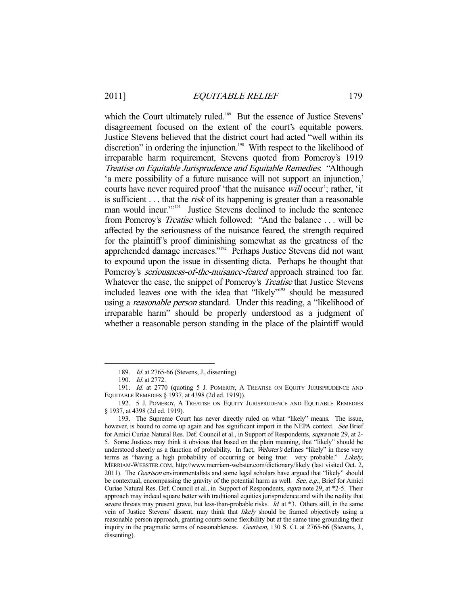which the Court ultimately ruled.<sup>189</sup> But the essence of Justice Stevens' disagreement focused on the extent of the court's equitable powers. Justice Stevens believed that the district court had acted "well within its discretion" in ordering the injunction.<sup>190</sup> With respect to the likelihood of irreparable harm requirement, Stevens quoted from Pomeroy's 1919 Treatise on Equitable Jurisprudence and Equitable Remedies: "Although 'a mere possibility of a future nuisance will not support an injunction,' courts have never required proof 'that the nuisance will occur'; rather, 'it is sufficient . . . that the *risk* of its happening is greater than a reasonable man would incur."<sup>191</sup> Justice Stevens declined to include the sentence from Pomeroy's Treatise which followed: "And the balance . . . will be affected by the seriousness of the nuisance feared, the strength required for the plaintiff's proof diminishing somewhat as the greatness of the apprehended damage increases."192 Perhaps Justice Stevens did not want to expound upon the issue in dissenting dicta. Perhaps he thought that Pomeroy's *seriousness-of-the-nuisance-feared* approach strained too far. Whatever the case, the snippet of Pomeroy's *Treatise* that Justice Stevens included leaves one with the idea that "likely"<sup>193</sup> should be measured using a *reasonable person* standard. Under this reading, a "likelihood of irreparable harm" should be properly understood as a judgment of whether a reasonable person standing in the place of the plaintiff would

<sup>189.</sup> *Id.* at 2765-66 (Stevens, J., dissenting).

 <sup>190.</sup> Id. at 2772.

<sup>191.</sup> Id. at 2770 (quoting 5 J. POMEROY, A TREATISE ON EQUITY JURISPRUDENCE AND EQUITABLE REMEDIES § 1937, at 4398 (2d ed. 1919)).

 <sup>192. 5</sup> J. POMEROY, A TREATISE ON EQUITY JURISPRUDENCE AND EQUITABLE REMEDIES § 1937, at 4398 (2d ed. 1919).

 <sup>193.</sup> The Supreme Court has never directly ruled on what "likely" means. The issue, however, is bound to come up again and has significant import in the NEPA context. See Brief for Amici Curiae Natural Res. Def. Council et al., in Support of Respondents, supra note 29, at 2- 5. Some Justices may think it obvious that based on the plain meaning, that "likely" should be understood sheerly as a function of probability. In fact, Webster's defines "likely" in these very terms as "having a high probability of occurring or being true: very probable." Likely, MERRIAM-WEBSTER.COM, http://www.merriam-webster.com/dictionary/likely (last visited Oct. 2, 2011). The Geertson environmentalists and some legal scholars have argued that "likely" should be contextual, encompassing the gravity of the potential harm as well. See, e.g., Brief for Amici Curiae Natural Res. Def. Council et al., in Support of Respondents, supra note 29, at \*2-5. Their approach may indeed square better with traditional equities jurisprudence and with the reality that severe threats may present grave, but less-than-probable risks. *Id.* at \*3. Others still, in the same vein of Justice Stevens' dissent, may think that *likely* should be framed objectively using a reasonable person approach, granting courts some flexibility but at the same time grounding their inquiry in the pragmatic terms of reasonableness. Geertson, 130 S. Ct. at 2765-66 (Stevens, J., dissenting).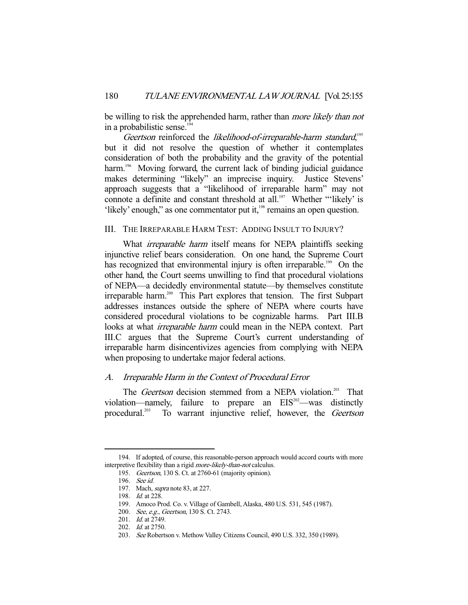be willing to risk the apprehended harm, rather than *more likely than not* in a probabilistic sense.<sup>194</sup>

Geertson reinforced the likelihood-of-irreparable-harm standard,<sup>195</sup> but it did not resolve the question of whether it contemplates consideration of both the probability and the gravity of the potential harm.<sup>196</sup> Moving forward, the current lack of binding judicial guidance makes determining "likely" an imprecise inquiry. Justice Stevens' approach suggests that a "likelihood of irreparable harm" may not connote a definite and constant threshold at all.<sup>197</sup> Whether "'likely' is 'likely' enough," as one commentator put it,<sup>198</sup> remains an open question.

# III. THE IRREPARABLE HARM TEST: ADDING INSULT TO INJURY?

What *irreparable harm* itself means for NEPA plaintiffs seeking injunctive relief bears consideration. On one hand, the Supreme Court has recognized that environmental injury is often irreparable.<sup>199</sup> On the other hand, the Court seems unwilling to find that procedural violations of NEPA—a decidedly environmental statute—by themselves constitute irreparable harm.<sup>200</sup> This Part explores that tension. The first Subpart addresses instances outside the sphere of NEPA where courts have considered procedural violations to be cognizable harms. Part III.B looks at what *irreparable harm* could mean in the NEPA context. Part III.C argues that the Supreme Court's current understanding of irreparable harm disincentivizes agencies from complying with NEPA when proposing to undertake major federal actions.

# A. Irreparable Harm in the Context of Procedural Error

The *Geertson* decision stemmed from a NEPA violation.<sup>201</sup> That violation—namely, failure to prepare an  $EIS<sup>202</sup>$ —was distinctly procedural.<sup>203</sup> To warrant injunctive relief, however, the Geertson

 <sup>194.</sup> If adopted, of course, this reasonable-person approach would accord courts with more interpretive flexibility than a rigid more-likely-than-not calculus.

 <sup>195.</sup> Geertson, 130 S. Ct. at 2760-61 (majority opinion).

 <sup>196.</sup> See id.

 <sup>197.</sup> Mach, supra note 83, at 227.

 <sup>198.</sup> Id. at 228.

 <sup>199.</sup> Amoco Prod. Co. v. Village of Gambell, Alaska, 480 U.S. 531, 545 (1987).

<sup>200.</sup> See, e.g., Geertson, 130 S. Ct. 2743.

 <sup>201.</sup> Id. at 2749.

 <sup>202.</sup> Id. at 2750.

 <sup>203.</sup> See Robertson v. Methow Valley Citizens Council, 490 U.S. 332, 350 (1989).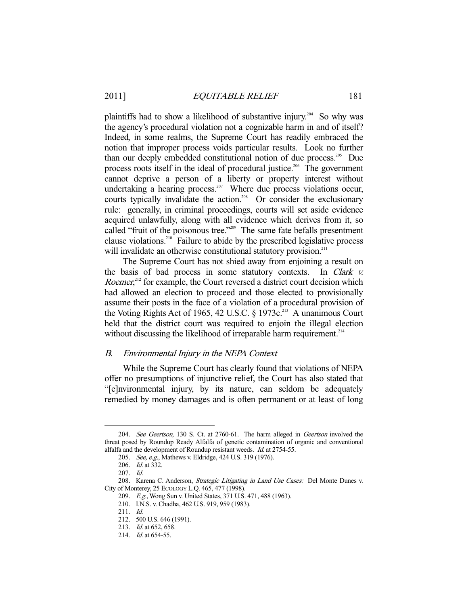plaintiffs had to show a likelihood of substantive injury.<sup>204</sup> So why was the agency's procedural violation not a cognizable harm in and of itself? Indeed, in some realms, the Supreme Court has readily embraced the notion that improper process voids particular results. Look no further than our deeply embedded constitutional notion of due process.205 Due process roots itself in the ideal of procedural justice.<sup>206</sup> The government cannot deprive a person of a liberty or property interest without undertaking a hearing process.<sup>207</sup> Where due process violations occur, courts typically invalidate the action.<sup>208</sup> Or consider the exclusionary rule: generally, in criminal proceedings, courts will set aside evidence acquired unlawfully, along with all evidence which derives from it, so called "fruit of the poisonous tree."<sup>209</sup> The same fate befalls presentment clause violations.210 Failure to abide by the prescribed legislative process will invalidate an otherwise constitutional statutory provision.<sup>211</sup>

 The Supreme Court has not shied away from enjoining a result on the basis of bad process in some statutory contexts. In Clark v. Roemer,<sup>212</sup> for example, the Court reversed a district court decision which had allowed an election to proceed and those elected to provisionally assume their posts in the face of a violation of a procedural provision of the Voting Rights Act of 1965, 42 U.S.C. § 1973 $c<sup>213</sup>$  A unanimous Court held that the district court was required to enjoin the illegal election without discussing the likelihood of irreparable harm requirement.<sup>214</sup>

#### B. Environmental Injury in the NEPA Context

 While the Supreme Court has clearly found that violations of NEPA offer no presumptions of injunctive relief, the Court has also stated that "[e]nvironmental injury, by its nature, can seldom be adequately remedied by money damages and is often permanent or at least of long

 <sup>204.</sup> See Geertson, 130 S. Ct. at 2760-61. The harm alleged in Geertson involved the threat posed by Roundup Ready Alfalfa of genetic contamination of organic and conventional alfalfa and the development of Roundup resistant weeds. Id. at 2754-55.

<sup>205.</sup> See, e.g., Mathews v. Eldridge, 424 U.S. 319 (1976).

 <sup>206.</sup> Id. at 332.

 <sup>207.</sup> Id.

<sup>208.</sup> Karena C. Anderson, Strategic Litigating in Land Use Cases: Del Monte Dunes v. City of Monterey, 25 ECOLOGY L.Q. 465, 477 (1998).

<sup>209.</sup> E.g., Wong Sun v. United States, 371 U.S. 471, 488 (1963).

 <sup>210.</sup> I.N.S. v. Chadha, 462 U.S. 919, 959 (1983).

 <sup>211.</sup> Id.

 <sup>212. 500</sup> U.S. 646 (1991).

 <sup>213.</sup> Id. at 652, 658.

<sup>214.</sup> *Id.* at 654-55.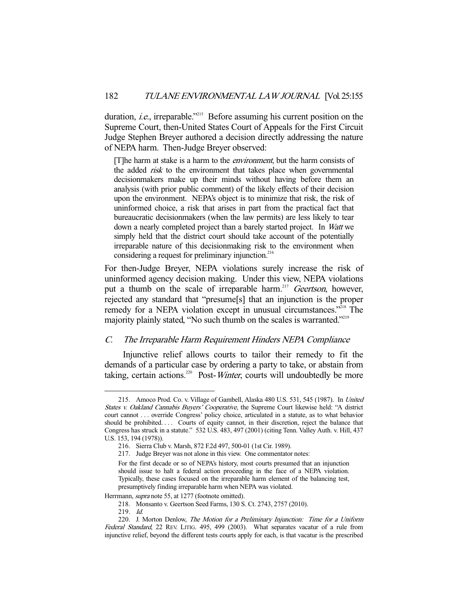duration, *i.e.*, irreparable."<sup>215</sup> Before assuming his current position on the Supreme Court, then-United States Court of Appeals for the First Circuit Judge Stephen Breyer authored a decision directly addressing the nature of NEPA harm. Then-Judge Breyer observed:

[T]he harm at stake is a harm to the environment, but the harm consists of the added *risk* to the environment that takes place when governmental decisionmakers make up their minds without having before them an analysis (with prior public comment) of the likely effects of their decision upon the environment. NEPA's object is to minimize that risk, the risk of uninformed choice, a risk that arises in part from the practical fact that bureaucratic decisionmakers (when the law permits) are less likely to tear down a nearly completed project than a barely started project. In Watt we simply held that the district court should take account of the potentially irreparable nature of this decisionmaking risk to the environment when considering a request for preliminary injunction.<sup>216</sup>

For then-Judge Breyer, NEPA violations surely increase the risk of uninformed agency decision making. Under this view, NEPA violations put a thumb on the scale of irreparable harm.<sup>217</sup> Geertson, however, rejected any standard that "presume[s] that an injunction is the proper remedy for a NEPA violation except in unusual circumstances.<sup>2218</sup> The majority plainly stated, "No such thumb on the scales is warranted."<sup>219</sup>

# C. The Irreparable Harm Requirement Hinders NEPA Compliance

 Injunctive relief allows courts to tailor their remedy to fit the demands of a particular case by ordering a party to take, or abstain from taking, certain actions.<sup>220</sup> Post-*Winter*, courts will undoubtedly be more

Herrmann, supra note 55, at 1277 (footnote omitted).

<sup>215.</sup> Amoco Prod. Co. v. Village of Gambell, Alaska 480 U.S. 531, 545 (1987). In United States v. Oakland Cannabis Buyers' Cooperative, the Supreme Court likewise held: "A district court cannot . . . override Congress' policy choice, articulated in a statute, as to what behavior should be prohibited. . . . Courts of equity cannot, in their discretion, reject the balance that Congress has struck in a statute." 532 U.S. 483, 497 (2001) (citing Tenn. Valley Auth. v. Hill, 437 U.S. 153, 194 (1978)).

 <sup>216.</sup> Sierra Club v. Marsh, 872 F.2d 497, 500-01 (1st Cir. 1989).

 <sup>217.</sup> Judge Breyer was not alone in this view. One commentator notes:

For the first decade or so of NEPA's history, most courts presumed that an injunction should issue to halt a federal action proceeding in the face of a NEPA violation. Typically, these cases focused on the irreparable harm element of the balancing test, presumptively finding irreparable harm when NEPA was violated.

 <sup>218.</sup> Monsanto v. Geertson Seed Farms, 130 S. Ct. 2743, 2757 (2010).

 <sup>219.</sup> Id.

 <sup>220.</sup> J. Morton Denlow, The Motion for a Preliminary Injunction: Time for a Uniform Federal Standard, 22 REV. LITIG. 495, 499 (2003). What separates vacatur of a rule from injunctive relief, beyond the different tests courts apply for each, is that vacatur is the prescribed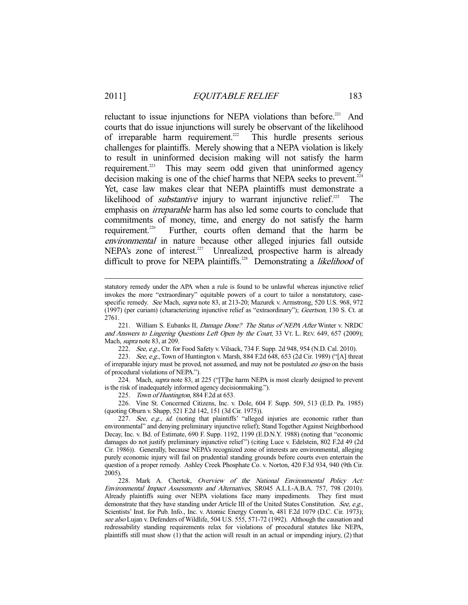reluctant to issue injunctions for NEPA violations than before. $221$  And courts that do issue injunctions will surely be observant of the likelihood of irreparable harm requirement.<sup>222</sup> This hurdle presents serious challenges for plaintiffs. Merely showing that a NEPA violation is likely to result in uninformed decision making will not satisfy the harm requirement.<sup>223</sup> This may seem odd given that uninformed agency decision making is one of the chief harms that NEPA seeks to prevent.<sup>224</sup> Yet, case law makes clear that NEPA plaintiffs must demonstrate a likelihood of *substantive* injury to warrant injunctive relief.<sup>225</sup> The emphasis on irreparable harm has also led some courts to conclude that commitments of money, time, and energy do not satisfy the harm requirement.<sup>226</sup> Further, courts often demand that the harm be environmental in nature because other alleged injuries fall outside NEPA's zone of interest.<sup>227</sup> Unrealized, prospective harm is already difficult to prove for NEPA plaintiffs.<sup>228</sup> Demonstrating a *likelihood* of

221. William S. Eubanks II, Damage Done? The Status of NEPA After Winter v. NRDC and Answers to Lingering Questions Left Open by the Court, 33 VT. L. REV. 649, 657 (2009); Mach, supra note 83, at 209.

222. See, e.g., Ctr. for Food Safety v. Vilsack, 734 F. Supp. 2d 948, 954 (N.D. Cal. 2010).

223. See, e.g., Town of Huntington v. Marsh, 884 F.2d 648, 653 (2d Cir. 1989) ("[A] threat of irreparable injury must be proved, not assumed, and may not be postulated *eo ipso* on the basis of procedural violations of NEPA.").

224. Mach, supra note 83, at 225 ("[T]he harm NEPA is most clearly designed to prevent is the risk of inadequately informed agency decisionmaking.").

225. Town of Huntington, 884 F.2d at 653.

 226. Vine St. Concerned Citizens, Inc. v. Dole, 604 F. Supp. 509, 513 (E.D. Pa. 1985) (quoting Oburn v. Shapp, 521 F.2d 142, 151 (3d Cir. 1975)).

228. Mark A. Chertok, Overview of the National Environmental Policy Act: Environmental Impact Assessments and Alternatives, SR045 A.L.I.-A.B.A. 757, 798 (2010). Already plaintiffs suing over NEPA violations face many impediments. They first must demonstrate that they have standing under Article III of the United States Constitution. See, e.g., Scientists' Inst. for Pub. Info., Inc. v. Atomic Energy Comm'n, 481 F.2d 1079 (D.C. Cir. 1973); see also Lujan v. Defenders of Wildlife, 504 U.S. 555, 571-72 (1992). Although the causation and redressability standing requirements relax for violations of procedural statutes like NEPA, plaintiffs still must show (1) that the action will result in an actual or impending injury, (2) that

statutory remedy under the APA when a rule is found to be unlawful whereas injunctive relief invokes the more "extraordinary" equitable powers of a court to tailor a nonstatutory, casespecific remedy. See Mach, supra note 83, at 213-20; Mazurek v. Armstrong, 520 U.S. 968, 972 (1997) (per curiam) (characterizing injunctive relief as "extraordinary"); Geertson, 130 S. Ct. at 2761.

<sup>227.</sup> See, e.g., id. (noting that plaintiffs' "alleged injuries are economic rather than environmental" and denying preliminary injunctive relief); Stand Together Against Neighborhood Decay, Inc. v. Bd. of Estimate, 690 F. Supp. 1192, 1199 (E.D.N.Y. 1988) (noting that "economic damages do not justify preliminary injunctive relief") (citing Luce v. Edelstein, 802 F.2d 49 (2d Cir. 1986)). Generally, because NEPA's recognized zone of interests are environmental, alleging purely economic injury will fail on prudential standing grounds before courts even entertain the question of a proper remedy. Ashley Creek Phosphate Co. v. Norton, 420 F.3d 934, 940 (9th Cir. 2005).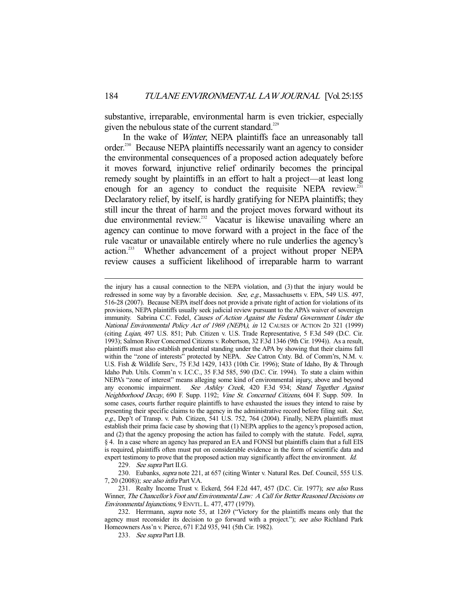substantive, irreparable, environmental harm is even trickier, especially given the nebulous state of the current standard.<sup>229</sup>

In the wake of *Winter*, NEPA plaintiffs face an unreasonably tall order.<sup>230</sup> Because NEPA plaintiffs necessarily want an agency to consider the environmental consequences of a proposed action adequately before it moves forward, injunctive relief ordinarily becomes the principal remedy sought by plaintiffs in an effort to halt a project—at least long enough for an agency to conduct the requisite NEPA review.<sup>231</sup> Declaratory relief, by itself, is hardly gratifying for NEPA plaintiffs; they still incur the threat of harm and the project moves forward without its due environmental review.<sup>232</sup> Vacatur is likewise unavailing where an agency can continue to move forward with a project in the face of the rule vacatur or unavailable entirely where no rule underlies the agency's action.233 Whether advancement of a project without proper NEPA review causes a sufficient likelihood of irreparable harm to warrant

229. See supra Part II.G.

-

230. Eubanks, *supra* note 221, at 657 (citing Winter v. Natural Res. Def. Council, 555 U.S. 7, 20 (2008)); see also infra Part V.A.

231. Realty Income Trust v. Eckerd, 564 F.2d 447, 457 (D.C. Cir. 1977); see also Russ Winner, The Chancellor's Foot and Environmental Law: A Call for Better Reasoned Decisions on Environmental Injunctions, 9 ENVTL. L. 477, 477 (1979).

232. Herrmann, *supra* note 55, at 1269 ("Victory for the plaintiffs means only that the agency must reconsider its decision to go forward with a project."); see also Richland Park Homeowners Ass'n v. Pierce, 671 F.2d 935, 941 (5th Cir. 1982).

233. See supra Part I.B.

the injury has a causal connection to the NEPA violation, and (3) that the injury would be redressed in some way by a favorable decision. See, e.g., Massachusetts v. EPA, 549 U.S. 497, 516-28 (2007). Because NEPA itself does not provide a private right of action for violations of its provisions, NEPA plaintiffs usually seek judicial review pursuant to the APA's waiver of sovereign immunity. Sabrina C.C. Fedel, Causes of Action Against the Federal Government Under the National Environmental Policy Act of 1969 (NEPA), in 12 CAUSES OF ACTION 2D 321 (1999) (citing Lujan, 497 U.S. 851; Pub. Citizen v. U.S. Trade Representative, 5 F.3d 549 (D.C. Cir. 1993); Salmon River Concerned Citizens v. Robertson, 32 F.3d 1346 (9th Cir. 1994)). As a result, plaintiffs must also establish prudential standing under the APA by showing that their claims fall within the "zone of interests" protected by NEPA. See Catron Cnty. Bd. of Comm'rs, N.M. v. U.S. Fish & Wildlife Serv., 75 F.3d 1429, 1433 (10th Cir. 1996); State of Idaho, By & Through Idaho Pub. Utils. Comm'n v. I.C.C., 35 F.3d 585, 590 (D.C. Cir. 1994). To state a claim within NEPA's "zone of interest" means alleging some kind of environmental injury, above and beyond any economic impairment. See Ashley Creek, 420 F.3d 934; Stand Together Against Neighborhood Decay, 690 F. Supp. 1192; Vine St. Concerned Citizens, 604 F. Supp. 509. In some cases, courts further require plaintiffs to have exhausted the issues they intend to raise by presenting their specific claims to the agency in the administrative record before filing suit. See, e.g., Dep't of Transp. v. Pub. Citizen, 541 U.S. 752, 764 (2004). Finally, NEPA plaintiffs must establish their prima facie case by showing that (1) NEPA applies to the agency's proposed action, and (2) that the agency proposing the action has failed to comply with the statute. Fedel, supra, § 4. In a case where an agency has prepared an EA and FONSI but plaintiffs claim that a full EIS is required, plaintiffs often must put on considerable evidence in the form of scientific data and expert testimony to prove that the proposed action may significantly affect the environment. Id.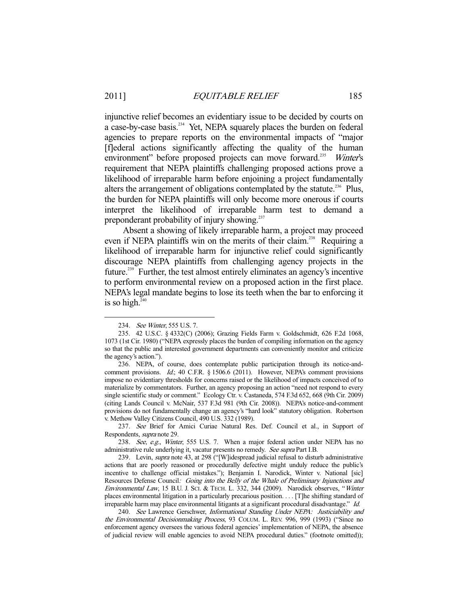injunctive relief becomes an evidentiary issue to be decided by courts on a case-by-case basis.<sup>234</sup> Yet, NEPA squarely places the burden on federal agencies to prepare reports on the environmental impacts of "major [f]ederal actions significantly affecting the quality of the human environment" before proposed projects can move forward.<sup>235</sup> Winter's requirement that NEPA plaintiffs challenging proposed actions prove a likelihood of irreparable harm before enjoining a project fundamentally alters the arrangement of obligations contemplated by the statute.<sup>236</sup> Plus, the burden for NEPA plaintiffs will only become more onerous if courts interpret the likelihood of irreparable harm test to demand a preponderant probability of injury showing.<sup>237</sup>

 Absent a showing of likely irreparable harm, a project may proceed even if NEPA plaintiffs win on the merits of their claim.<sup>238</sup> Requiring a likelihood of irreparable harm for injunctive relief could significantly discourage NEPA plaintiffs from challenging agency projects in the future.239 Further, the test almost entirely eliminates an agency's incentive to perform environmental review on a proposed action in the first place. NEPA's legal mandate begins to lose its teeth when the bar to enforcing it is so high. $240$ 

-

 237. See Brief for Amici Curiae Natural Res. Def. Council et al., in Support of Respondents, supra note 29.

238. See, e.g., Winter, 555 U.S. 7. When a major federal action under NEPA has no administrative rule underlying it, vacatur presents no remedy. See supra Part I.B.

239. Levin, *supra* note 43, at 298 ("[W]idespread judicial refusal to disturb administrative actions that are poorly reasoned or procedurally defective might unduly reduce the public's incentive to challenge official mistakes."); Benjamin I. Narodick, Winter v. National [sic] Resources Defense Council: Going into the Belly of the Whale of Preliminary Injunctions and Environmental Law, 15 B.U. J. SCI. & TECH. L. 332, 344 (2009). Narodick observes, "Winter places environmental litigation in a particularly precarious position. . . . [T]he shifting standard of irreparable harm may place environmental litigants at a significant procedural disadvantage." Id.

240. See Lawrence Gerschwer, Informational Standing Under NEPA: Justiciability and the Environmental Decisionmaking Process, 93 COLUM. L. REV. 996, 999 (1993) ("Since no enforcement agency oversees the various federal agencies' implementation of NEPA, the absence of judicial review will enable agencies to avoid NEPA procedural duties." (footnote omitted));

 <sup>234.</sup> See Winter, 555 U.S. 7.

 <sup>235. 42</sup> U.S.C. § 4332(C) (2006); Grazing Fields Farm v. Goldschmidt, 626 F.2d 1068, 1073 (1st Cir. 1980) ("NEPA expressly places the burden of compiling information on the agency so that the public and interested government departments can conveniently monitor and criticize the agency's action.").

 <sup>236.</sup> NEPA, of course, does contemplate public participation through its notice-andcomment provisions. Id.; 40 C.F.R. § 1506.6 (2011). However, NEPA's comment provisions impose no evidentiary thresholds for concerns raised or the likelihood of impacts conceived of to materialize by commentators. Further, an agency proposing an action "need not respond to every single scientific study or comment." Ecology Ctr. v. Castaneda, 574 F.3d 652, 668 (9th Cir. 2009) (citing Lands Council v. McNair, 537 F.3d 981 (9th Cir. 2008)). NEPA's notice-and-comment provisions do not fundamentally change an agency's "hard look" statutory obligation. Robertson v. Methow Valley Citizens Council, 490 U.S. 332 (1989).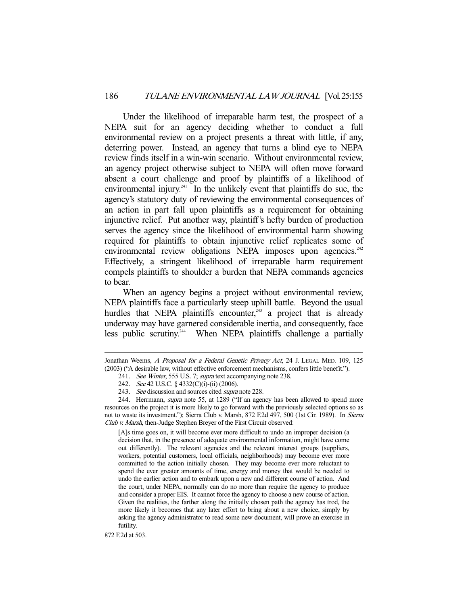Under the likelihood of irreparable harm test, the prospect of a NEPA suit for an agency deciding whether to conduct a full environmental review on a project presents a threat with little, if any, deterring power. Instead, an agency that turns a blind eye to NEPA review finds itself in a win-win scenario. Without environmental review, an agency project otherwise subject to NEPA will often move forward absent a court challenge and proof by plaintiffs of a likelihood of environmental injury. $241$  In the unlikely event that plaintiffs do sue, the agency's statutory duty of reviewing the environmental consequences of an action in part fall upon plaintiffs as a requirement for obtaining injunctive relief. Put another way, plaintiff's hefty burden of production serves the agency since the likelihood of environmental harm showing required for plaintiffs to obtain injunctive relief replicates some of environmental review obligations NEPA imposes upon agencies.<sup>242</sup> Effectively, a stringent likelihood of irreparable harm requirement compels plaintiffs to shoulder a burden that NEPA commands agencies to bear.

 When an agency begins a project without environmental review, NEPA plaintiffs face a particularly steep uphill battle. Beyond the usual hurdles that NEPA plaintiffs encounter, $243$  a project that is already underway may have garnered considerable inertia, and consequently, face less public scrutiny.<sup>244</sup> When NEPA plaintiffs challenge a partially

[A]s time goes on, it will become ever more difficult to undo an improper decision (a decision that, in the presence of adequate environmental information, might have come out differently). The relevant agencies and the relevant interest groups (suppliers, workers, potential customers, local officials, neighborhoods) may become ever more committed to the action initially chosen. They may become ever more reluctant to spend the ever greater amounts of time, energy and money that would be needed to undo the earlier action and to embark upon a new and different course of action. And the court, under NEPA, normally can do no more than require the agency to produce and consider a proper EIS. It cannot force the agency to choose a new course of action. Given the realities, the farther along the initially chosen path the agency has trod, the more likely it becomes that any later effort to bring about a new choice, simply by asking the agency administrator to read some new document, will prove an exercise in futility.

872 F.2d at 503.

Jonathan Weems, A Proposal for a Federal Genetic Privacy Act, 24 J. LEGAL MED. 109, 125 (2003) ("A desirable law, without effective enforcement mechanisms, confers little benefit.").

<sup>241.</sup> See Winter, 555 U.S. 7; supra text accompanying note 238.

 <sup>242.</sup> See 42 U.S.C. § 4332(C)(i)-(ii) (2006).

<sup>243.</sup> See discussion and sources cited supra note 228.

<sup>244.</sup> Herrmann, *supra* note 55, at 1289 ("If an agency has been allowed to spend more resources on the project it is more likely to go forward with the previously selected options so as not to waste its investment."); Sierra Club v. Marsh, 872 F.2d 497, 500 (1st Cir. 1989). In Sierra Club v. Marsh, then-Judge Stephen Breyer of the First Circuit observed: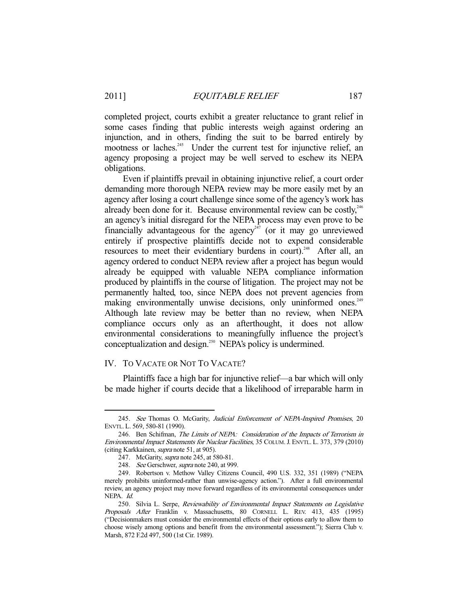completed project, courts exhibit a greater reluctance to grant relief in some cases finding that public interests weigh against ordering an injunction, and in others, finding the suit to be barred entirely by mootness or laches.<sup>245</sup> Under the current test for injunctive relief, an agency proposing a project may be well served to eschew its NEPA obligations.

 Even if plaintiffs prevail in obtaining injunctive relief, a court order demanding more thorough NEPA review may be more easily met by an agency after losing a court challenge since some of the agency's work has already been done for it. Because environmental review can be costly,  $246$ an agency's initial disregard for the NEPA process may even prove to be financially advantageous for the agency<sup> $247$ </sup> (or it may go unreviewed entirely if prospective plaintiffs decide not to expend considerable resources to meet their evidentiary burdens in court).<sup>248</sup> After all, an agency ordered to conduct NEPA review after a project has begun would already be equipped with valuable NEPA compliance information produced by plaintiffs in the course of litigation. The project may not be permanently halted, too, since NEPA does not prevent agencies from making environmentally unwise decisions, only uninformed ones.<sup>249</sup> Although late review may be better than no review, when NEPA compliance occurs only as an afterthought, it does not allow environmental considerations to meaningfully influence the project's conceptualization and design.<sup>250</sup> NEPA's policy is undermined.

# IV. TO VACATE OR NOT TO VACATE?

 Plaintiffs face a high bar for injunctive relief—a bar which will only be made higher if courts decide that a likelihood of irreparable harm in

<sup>245.</sup> See Thomas O. McGarity, Judicial Enforcement of NEPA-Inspired Promises, 20 ENVTL. L. 569, 580-81 (1990).

 <sup>246.</sup> Ben Schifman, The Limits of NEPA: Consideration of the Impacts of Terrorism in Environmental Impact Statements for Nuclear Facilities, 35 COLUM.J. ENVTL. L. 373, 379 (2010) (citing Karkkainen, supra note 51, at 905).

<sup>247.</sup> McGarity, *supra* note 245, at 580-81.

<sup>248.</sup> See Gerschwer, supra note 240, at 999.

 <sup>249.</sup> Robertson v. Methow Valley Citizens Council, 490 U.S. 332, 351 (1989) ("NEPA merely prohibits uninformed-rather than unwise-agency action."). After a full environmental review, an agency project may move forward regardless of its environmental consequences under NEPA. Id.

<sup>250.</sup> Silvia L. Serpe, Reviewability of Environmental Impact Statements on Legislative Proposals After Franklin v. Massachusetts, 80 CORNELL L. REV. 413, 435 (1995) ("Decisionmakers must consider the environmental effects of their options early to allow them to choose wisely among options and benefit from the environmental assessment."); Sierra Club v. Marsh, 872 F.2d 497, 500 (1st Cir. 1989).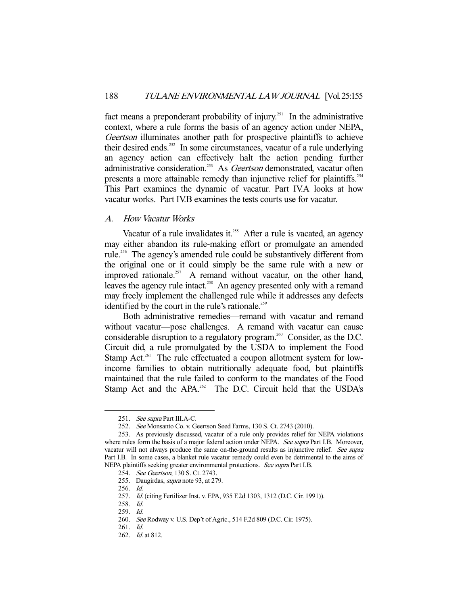fact means a preponderant probability of injury.<sup>251</sup> In the administrative context, where a rule forms the basis of an agency action under NEPA, Geertson illuminates another path for prospective plaintiffs to achieve their desired ends.<sup>252</sup> In some circumstances, vacatur of a rule underlying an agency action can effectively halt the action pending further administrative consideration.<sup>253</sup> As *Geertson* demonstrated, vacatur often presents a more attainable remedy than injunctive relief for plaintiffs.<sup>254</sup> This Part examines the dynamic of vacatur. Part IV.A looks at how vacatur works. Part IV.B examines the tests courts use for vacatur.

# A. How Vacatur Works

Vacatur of a rule invalidates it.<sup>255</sup> After a rule is vacated, an agency may either abandon its rule-making effort or promulgate an amended rule.<sup>256</sup> The agency's amended rule could be substantively different from the original one or it could simply be the same rule with a new or improved rationale.<sup>257</sup> A remand without vacatur, on the other hand, leaves the agency rule intact.<sup>258</sup> An agency presented only with a remand may freely implement the challenged rule while it addresses any defects identified by the court in the rule's rationale.<sup>259</sup>

 Both administrative remedies—remand with vacatur and remand without vacatur—pose challenges. A remand with vacatur can cause considerable disruption to a regulatory program.<sup>260</sup> Consider, as the D.C. Circuit did, a rule promulgated by the USDA to implement the Food Stamp Act.<sup>261</sup> The rule effectuated a coupon allotment system for lowincome families to obtain nutritionally adequate food, but plaintiffs maintained that the rule failed to conform to the mandates of the Food Stamp Act and the APA.<sup>262</sup> The D.C. Circuit held that the USDA's

<sup>251.</sup> See supra Part III.A-C.

 <sup>252.</sup> See Monsanto Co. v. Geertson Seed Farms, 130 S. Ct. 2743 (2010).

 <sup>253.</sup> As previously discussed, vacatur of a rule only provides relief for NEPA violations where rules form the basis of a major federal action under NEPA. See supra Part I.B. Moreover, vacatur will not always produce the same on-the-ground results as injunctive relief. See supra Part I.B. In some cases, a blanket rule vacatur remedy could even be detrimental to the aims of NEPA plaintiffs seeking greater environmental protections. See supra Part I.B.

 <sup>254.</sup> See Geertson, 130 S. Ct. 2743.

 <sup>255.</sup> Daugirdas, supra note 93, at 279.

 <sup>256.</sup> Id.

 <sup>257.</sup> Id. (citing Fertilizer Inst. v. EPA, 935 F.2d 1303, 1312 (D.C. Cir. 1991)).

 <sup>258.</sup> Id.

 <sup>259.</sup> Id.

 <sup>260.</sup> See Rodway v. U.S. Dep't of Agric., 514 F.2d 809 (D.C. Cir. 1975).

 <sup>261.</sup> Id.

 <sup>262.</sup> Id. at 812.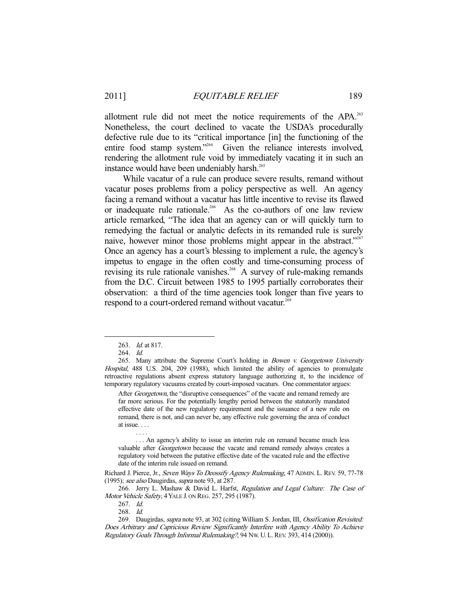allotment rule did not meet the notice requirements of the APA.<sup>263</sup> Nonetheless, the court declined to vacate the USDA's procedurally defective rule due to its "critical importance [in] the functioning of the entire food stamp system."264 Given the reliance interests involved, rendering the allotment rule void by immediately vacating it in such an instance would have been undeniably harsh.<sup>265</sup>

 While vacatur of a rule can produce severe results, remand without vacatur poses problems from a policy perspective as well. An agency facing a remand without a vacatur has little incentive to revise its flawed or inadequate rule rationale.<sup>266</sup> As the co-authors of one law review article remarked, "The idea that an agency can or will quickly turn to remedying the factual or analytic defects in its remanded rule is surely naive, however minor those problems might appear in the abstract."<sup>267</sup> Once an agency has a court's blessing to implement a rule, the agency's impetus to engage in the often costly and time-consuming process of revising its rule rationale vanishes.<sup>268</sup> A survey of rule-making remands from the D.C. Circuit between 1985 to 1995 partially corroborates their observation: a third of the time agencies took longer than five years to respond to a court-ordered remand without vacatur.<sup>269</sup>

. . . .

-

After *Georgetown*, the "disruptive consequences" of the vacate and remand remedy are far more serious. For the potentially lengthy period between the statutorily mandated effective date of the new regulatory requirement and the issuance of a new rule on remand, there is not, and can never be, any effective rule governing the area of conduct at issue. . . .

 . . . An agency's ability to issue an interim rule on remand became much less valuable after *Georgetown* because the vacate and remand remedy always creates a regulatory void between the putative effective date of the vacated rule and the effective date of the interim rule issued on remand.

Richard J. Pierce, Jr., Seven Ways To Deossify Agency Rulemaking, 47 ADMIN. L. REV. 59, 77-78 (1995); see also Daugirdas, supra note 93, at 287.

266. Jerry L. Mashaw & David L. Harfst, Regulation and Legal Culture: The Case of Motor Vehicle Safety, 4 YALE J. ON REG. 257, 295 (1987).

267. Id.

268. Id.

 <sup>263.</sup> Id. at 817.

 <sup>264.</sup> Id.

<sup>265.</sup> Many attribute the Supreme Court's holding in *Bowen v. Georgetown University* Hospital, 488 U.S. 204, 209 (1988), which limited the ability of agencies to promulgate retroactive regulations absent express statutory language authorizing it, to the incidence of temporary regulatory vacuums created by court-imposed vacaturs. One commentator argues:

<sup>269.</sup> Daugirdas, *supra* note 93, at 302 (citing William S. Jordan, III, *Ossification Revisited:* Does Arbitrary and Capricious Review Significantly Interfere with Agency Ability To Achieve Regulatory Goals Through Informal Rulemaking?, 94 NW. U. L.REV. 393, 414 (2000)).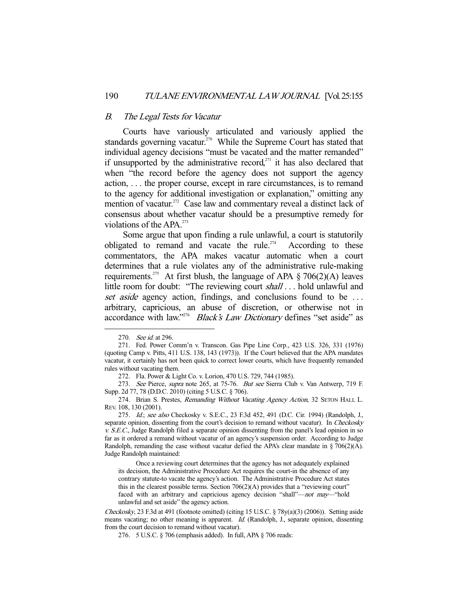#### B. The Legal Tests for Vacatur

 Courts have variously articulated and variously applied the standards governing vacatur.<sup>270</sup> While the Supreme Court has stated that individual agency decisions "must be vacated and the matter remanded" if unsupported by the administrative record, $271$  it has also declared that when "the record before the agency does not support the agency action, . . . the proper course, except in rare circumstances, is to remand to the agency for additional investigation or explanation," omitting any mention of vacatur.<sup>272</sup> Case law and commentary reveal a distinct lack of consensus about whether vacatur should be a presumptive remedy for violations of the  $APA$ <sup>273</sup>

 Some argue that upon finding a rule unlawful, a court is statutorily obligated to remand and vacate the rule.<sup> $274$ </sup> According to these commentators, the APA makes vacatur automatic when a court determines that a rule violates any of the administrative rule-making requirements.<sup>275</sup> At first blush, the language of APA  $\S 706(2)$ (A) leaves little room for doubt: "The reviewing court *shall* . . . hold unlawful and set aside agency action, findings, and conclusions found to be ... arbitrary, capricious, an abuse of discretion, or otherwise not in accordance with law."<sup>276</sup> Black's Law Dictionary defines "set aside" as

-

272. Fla. Power & Light Co. v. Lorion, 470 U.S. 729, 744 (1985).

273. See Pierce, supra note 265, at 75-76. But see Sierra Club v. Van Antwerp, 719 F. Supp. 2d 77, 78 (D.D.C. 2010) (citing 5 U.S.C. § 706).

274. Brian S. Prestes, Remanding Without Vacating Agency Action, 32 SETON HALL L. REV. 108, 130 (2001).

275. Id.; see also Checkosky v. S.E.C., 23 F.3d 452, 491 (D.C. Cir. 1994) (Randolph, J., separate opinion, dissenting from the court's decision to remand without vacatur). In Checkosky v. S.E.C., Judge Randolph filed a separate opinion dissenting from the panel's lead opinion in so far as it ordered a remand without vacatur of an agency's suspension order. According to Judge Randolph, remanding the case without vacatur defied the APA's clear mandate in § 706(2)(A). Judge Randolph maintained:

 Once a reviewing court determines that the agency has not adequately explained its decision, the Administrative Procedure Act requires the court-in the absence of any contrary statute-to vacate the agency's action. The Administrative Procedure Act states this in the clearest possible terms. Section 706(2)(A) provides that a "reviewing court" faced with an arbitrary and capricious agency decision "shall"—not may—"hold unlawful and set aside" the agency action.

Checkosky, 23 F.3d at 491 (footnote omitted) (citing 15 U.S.C. § 78y(a)(3) (2006)). Setting aside means vacating; no other meaning is apparent. Id. (Randolph, J., separate opinion, dissenting from the court decision to remand without vacatur).

<sup>270.</sup> See id. at 296.

 <sup>271.</sup> Fed. Power Comm'n v. Transcon. Gas Pipe Line Corp., 423 U.S. 326, 331 (1976) (quoting Camp v. Pitts, 411 U.S. 138, 143 (1973)). If the Court believed that the APA mandates vacatur, it certainly has not been quick to correct lower courts, which have frequently remanded rules without vacating them.

 <sup>276. 5</sup> U.S.C. § 706 (emphasis added). In full, APA § 706 reads: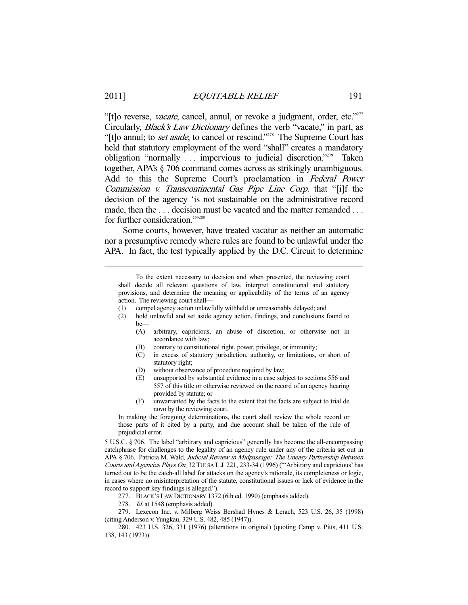"[t]o reverse, vacate, cancel, annul, or revoke a judgment, order, etc."<sup>277</sup> Circularly, Black's Law Dictionary defines the verb "vacate," in part, as "[t]o annul; to *set aside*; to cancel or rescind."<sup>278</sup> The Supreme Court has held that statutory employment of the word "shall" creates a mandatory obligation "normally . . . impervious to judicial discretion."279 Taken together, APA's § 706 command comes across as strikingly unambiguous. Add to this the Supreme Court's proclamation in Federal Power Commission v. Transcontinental Gas Pipe Line Corp. that "[i]f the decision of the agency 'is not sustainable on the administrative record made, then the ... decision must be vacated and the matter remanded ... for further consideration."<sup>280</sup>

 Some courts, however, have treated vacatur as neither an automatic nor a presumptive remedy where rules are found to be unlawful under the APA. In fact, the test typically applied by the D.C. Circuit to determine

 To the extent necessary to decision and when presented, the reviewing court shall decide all relevant questions of law, interpret constitutional and statutory provisions, and determine the meaning or applicability of the terms of an agency action. The reviewing court shall—

- (1) compel agency action unlawfully withheld or unreasonably delayed; and
- (2) hold unlawful and set aside agency action, findings, and conclusions found to be—
	- (A) arbitrary, capricious, an abuse of discretion, or otherwise not in accordance with law;
	- (B) contrary to constitutional right, power, privilege, or immunity;
	- (C) in excess of statutory jurisdiction, authority, or limitations, or short of statutory right;
	- (D) without observance of procedure required by law;
	- (E) unsupported by substantial evidence in a case subject to sections 556 and 557 of this title or otherwise reviewed on the record of an agency hearing provided by statute; or
	- (F) unwarranted by the facts to the extent that the facts are subject to trial de novo by the reviewing court.

In making the foregoing determinations, the court shall review the whole record or those parts of it cited by a party, and due account shall be taken of the rule of prejudicial error.

5 U.S.C. § 706. The label "arbitrary and capricious" generally has become the all-encompassing catchphrase for challenges to the legality of an agency rule under any of the criteria set out in APA § 706. Patricia M. Wald, Judicial Review in Midpassage: The Uneasy Partnership Between Courts and Agencies Plays On, 32 TULSA L.J. 221, 233-34 (1996) ("'Arbitrary and capricious' has turned out to be the catch-all label for attacks on the agency's rationale, its completeness or logic, in cases where no misinterpretation of the statute, constitutional issues or lack of evidence in the record to support key findings is alleged.").

277. BLACK'S LAW DICTIONARY 1372 (6th ed. 1990) (emphasis added).

278. Id. at 1548 (emphasis added).

 279. Lexecon Inc. v. Milberg Weiss Bershad Hynes & Lerach, 523 U.S. 26, 35 (1998) (citing Anderson v. Yungkau, 329 U.S. 482, 485 (1947)).

 280. 423 U.S. 326, 331 (1976) (alterations in original) (quoting Camp v. Pitts, 411 U.S. 138, 143 (1973)).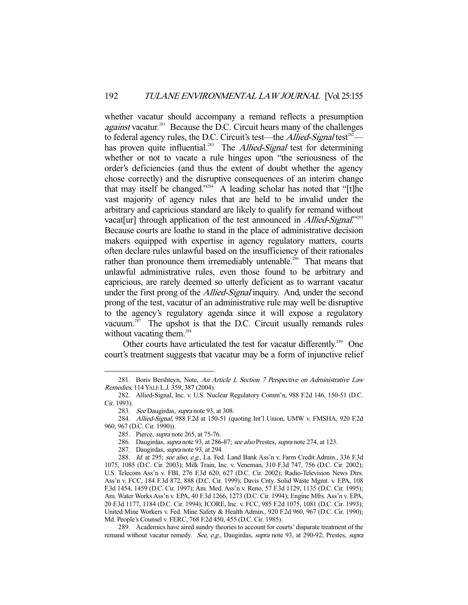whether vacatur should accompany a remand reflects a presumption *against* vacatur.<sup>281</sup> Because the D.C. Circuit hears many of the challenges to federal agency rules, the D.C. Circuit's test—the *Allied-Signal* test<sup>282</sup> has proven quite influential.<sup>283</sup> The *Allied-Signal* test for determining whether or not to vacate a rule hinges upon "the seriousness of the order's deficiencies (and thus the extent of doubt whether the agency chose correctly) and the disruptive consequences of an interim change that may itself be changed."<sup>284</sup> A leading scholar has noted that "[t]he vast majority of agency rules that are held to be invalid under the arbitrary and capricious standard are likely to qualify for remand without vacat[ur] through application of the test announced in *Allied-Signal*."<sup>285</sup> Because courts are loathe to stand in the place of administrative decision makers equipped with expertise in agency regulatory matters, courts often declare rules unlawful based on the insufficiency of their rationales rather than pronounce them irremediably untenable.<sup>286</sup> That means that unlawful administrative rules, even those found to be arbitrary and capricious, are rarely deemed so utterly deficient as to warrant vacatur under the first prong of the *Allied-Signal* inquiry. And, under the second prong of the test, vacatur of an administrative rule may well be disruptive to the agency's regulatory agenda since it will expose a regulatory vacuum.<sup>287</sup> The upshot is that the D.C. Circuit usually remands rules without vacating them.<sup>288</sup>

Other courts have articulated the test for vacatur differently.<sup>289</sup> One court's treatment suggests that vacatur may be a form of injunctive relief

<sup>281.</sup> Boris Bershteyn, Note, An Article I, Section 7 Perspective on Administrative Law Remedies, 114 YALE L.J. 359, 387 (2004).

 <sup>282.</sup> Allied-Signal, Inc. v. U.S. Nuclear Regulatory Comm'n, 988 F.2d 146, 150-51 (D.C. Cir. 1993).

<sup>283.</sup> See Daugirdas, supra note 93, at 308.

 <sup>284.</sup> Allied-Signal, 988 F.2d at 150-51 (quoting Int'l Union, UMW v. FMSHA, 920 F.2d 960, 967 (D.C. Cir. 1990)).

 <sup>285.</sup> Pierce, supra note 265, at 75-76.

<sup>286.</sup> Daugirdas, *supra* note 93, at 286-87; see also Prestes, *supra* note 274, at 123.

 <sup>287.</sup> Daugirdas, supra note 93, at 294.

<sup>288.</sup> Id. at 295; see also, e.g., La. Fed. Land Bank Ass'n v. Farm Credit Admin., 336 F.3d 1075, 1085 (D.C. Cir. 2003); Milk Train, Inc. v. Veneman, 310 F.3d 747, 756 (D.C. Cir. 2002); U.S. Telecom Ass'n v. FBI, 276 F.3d 620, 627 (D.C. Cir. 2002); Radio-Television News Dirs. Ass'n v. FCC, 184 F.3d 872, 888 (D.C. Cir. 1999); Davis Cnty. Solid Waste Mgmt. v. EPA, 108 F.3d 1454, 1459 (D.C. Cir. 1997); Am. Med. Ass'n v. Reno, 57 F.3d 1129, 1135 (D.C. Cir. 1995); Am. Water Works Ass'n v. EPA, 40 F.3d 1266, 1273 (D.C. Cir. 1994); Engine Mfrs. Ass'n v. EPA, 20 F.3d 1177, 1184 (D.C. Cir. 1994); ICORE, Inc. v. FCC, 985 F.2d 1075, 1081 (D.C. Cir. 1993); United Mine Workers v. Fed. Mine Safety & Health Admin., 920 F.2d 960, 967 (D.C. Cir. 1990); Md. People's Counsel v. FERC, 768 F.2d 450, 455 (D.C. Cir. 1985).

 <sup>289.</sup> Academics have aired sundry theories to account for courts' disparate treatment of the remand without vacatur remedy. See, e.g., Daugirdas, supra note 93, at 290-92; Prestes, supra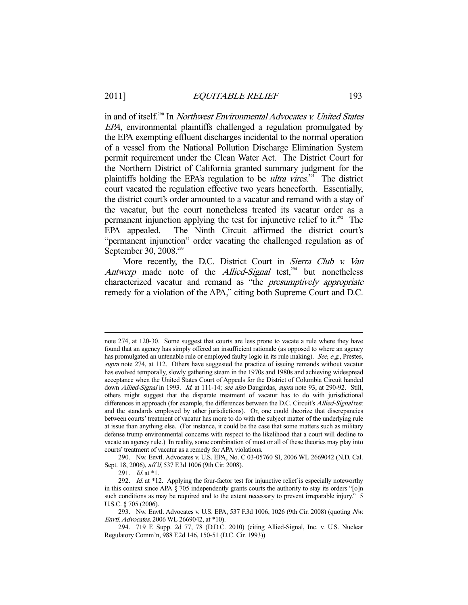in and of itself.<sup>290</sup> In Northwest Environmental Advocates v. United States EPA, environmental plaintiffs challenged a regulation promulgated by the EPA exempting effluent discharges incidental to the normal operation of a vessel from the National Pollution Discharge Elimination System permit requirement under the Clean Water Act. The District Court for the Northern District of California granted summary judgment for the plaintiffs holding the EPA's regulation to be *ultra vires*.<sup>291</sup> The district court vacated the regulation effective two years henceforth. Essentially, the district court's order amounted to a vacatur and remand with a stay of the vacatur, but the court nonetheless treated its vacatur order as a permanent injunction applying the test for injunctive relief to it.<sup>292</sup> The EPA appealed. The Ninth Circuit affirmed the district court's "permanent injunction" order vacating the challenged regulation as of September 30, 2008.<sup>293</sup>

More recently, the D.C. District Court in Sierra Club v. Van Antwerp made note of the Allied-Signal test,<sup>294</sup> but nonetheless characterized vacatur and remand as "the presumptively appropriate remedy for a violation of the APA," citing both Supreme Court and D.C.

 290. Nw. Envtl. Advocates v. U.S. EPA, No. C 03-05760 SI, 2006 WL 2669042 (N.D. Cal. Sept. 18, 2006), aff'd, 537 F.3d 1006 (9th Cir. 2008).

291. *Id.* at \*1.

note 274, at 120-30. Some suggest that courts are less prone to vacate a rule where they have found that an agency has simply offered an insufficient rationale (as opposed to where an agency has promulgated an untenable rule or employed faulty logic in its rule making). See, e.g., Prestes, supra note 274, at 112. Others have suggested the practice of issuing remands without vacatur has evolved temporally, slowly gathering steam in the 1970s and 1980s and achieving widespread acceptance when the United States Court of Appeals for the District of Columbia Circuit handed down Allied-Signal in 1993. Id. at 111-14; see also Daugirdas, supra note 93, at 290-92. Still, others might suggest that the disparate treatment of vacatur has to do with jurisdictional differences in approach (for example, the differences between the D.C. Circuit's Allied-Signal test and the standards employed by other jurisdictions). Or, one could theorize that discrepancies between courts' treatment of vacatur has more to do with the subject matter of the underlying rule at issue than anything else. (For instance, it could be the case that some matters such as military defense trump environmental concerns with respect to the likelihood that a court will decline to vacate an agency rule.) In reality, some combination of most or all of these theories may play into courts' treatment of vacatur as a remedy for APA violations.

<sup>292.</sup> Id. at \*12. Applying the four-factor test for injunctive relief is especially noteworthy in this context since APA § 705 independently grants courts the authority to stay its orders "[o]n such conditions as may be required and to the extent necessary to prevent irreparable injury." 5 U.S.C. § 705 (2006).

 <sup>293.</sup> Nw. Envtl. Advocates v. U.S. EPA, 537 F.3d 1006, 1026 (9th Cir. 2008) (quoting Nw. Envtl. Advocates, 2006 WL 2669042, at \*10).

 <sup>294. 719</sup> F. Supp. 2d 77, 78 (D.D.C. 2010) (citing Allied-Signal, Inc. v. U.S. Nuclear Regulatory Comm'n, 988 F.2d 146, 150-51 (D.C. Cir. 1993)).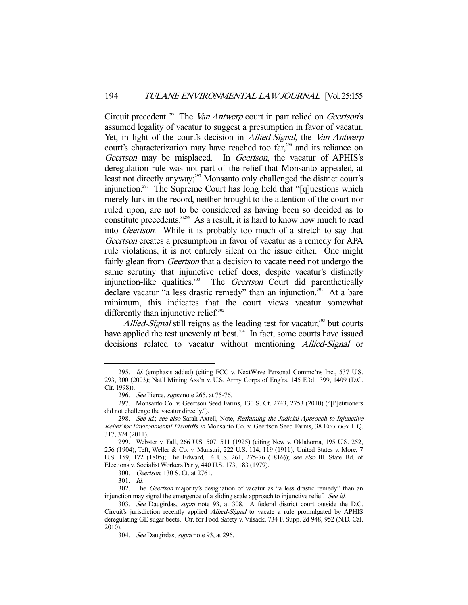Circuit precedent.<sup>295</sup> The Van Antwerp court in part relied on Geertson's assumed legality of vacatur to suggest a presumption in favor of vacatur. Yet, in light of the court's decision in Allied-Signal, the Van Antwerp court's characterization may have reached too far,<sup>296</sup> and its reliance on Geertson may be misplaced. In Geertson, the vacatur of APHIS's deregulation rule was not part of the relief that Monsanto appealed, at least not directly anyway;<sup>297</sup> Monsanto only challenged the district court's injunction.<sup>298</sup> The Supreme Court has long held that "[q]uestions which merely lurk in the record, neither brought to the attention of the court nor ruled upon, are not to be considered as having been so decided as to constitute precedents."299 As a result, it is hard to know how much to read into Geertson. While it is probably too much of a stretch to say that Geertson creates a presumption in favor of vacatur as a remedy for APA rule violations, it is not entirely silent on the issue either. One might fairly glean from *Geertson* that a decision to vacate need not undergo the same scrutiny that injunctive relief does, despite vacatur's distinctly injunction-like qualities.<sup>300</sup> The *Geertson* Court did parenthetically declare vacatur "a less drastic remedy" than an injunction.<sup>301</sup> At a bare minimum, this indicates that the court views vacatur somewhat differently than injunctive relief. $302$ 

Allied-Signal still reigns as the leading test for vacatur,<sup>303</sup> but courts have applied the test unevenly at best.<sup>304</sup> In fact, some courts have issued decisions related to vacatur without mentioning *Allied-Signal* or

<sup>295.</sup> Id. (emphasis added) (citing FCC v. NextWave Personal Commc'ns Inc., 537 U.S. 293, 300 (2003); Nat'l Mining Ass'n v. U.S. Army Corps of Eng'rs, 145 F.3d 1399, 1409 (D.C. Cir. 1998)).

<sup>296.</sup> See Pierce, supra note 265, at 75-76.

 <sup>297.</sup> Monsanto Co. v. Geertson Seed Farms, 130 S. Ct. 2743, 2753 (2010) ("[P]etitioners did not challenge the vacatur directly.").

<sup>298.</sup> See id.; see also Sarah Axtell, Note, Reframing the Judicial Approach to Injunctive Relief for Environmental Plaintiffs in Monsanto Co. v. Geertson Seed Farms, 38 ECOLOGY L.Q. 317, 324 (2011).

 <sup>299.</sup> Webster v. Fall, 266 U.S. 507, 511 (1925) (citing New v. Oklahoma, 195 U.S. 252, 256 (1904); Teft, Weller & Co. v. Munsuri, 222 U.S. 114, 119 (1911); United States v. More, 7 U.S. 159, 172 (1805); The Edward, 14 U.S. 261, 275-76 (1816)); see also Ill. State Bd. of Elections v. Socialist Workers Party, 440 U.S. 173, 183 (1979).

 <sup>300.</sup> Geertson, 130 S. Ct. at 2761.

 <sup>301.</sup> Id.

 <sup>302.</sup> The Geertson majority's designation of vacatur as "a less drastic remedy" than an injunction may signal the emergence of a sliding scale approach to injunctive relief. See id.

<sup>303.</sup> See Daugirdas, supra note 93, at 308. A federal district court outside the D.C. Circuit's jurisdiction recently applied Allied-Signal to vacate a rule promulgated by APHIS deregulating GE sugar beets. Ctr. for Food Safety v. Vilsack, 734 F. Supp. 2d 948, 952 (N.D. Cal. 2010).

<sup>304.</sup> See Daugirdas, supra note 93, at 296.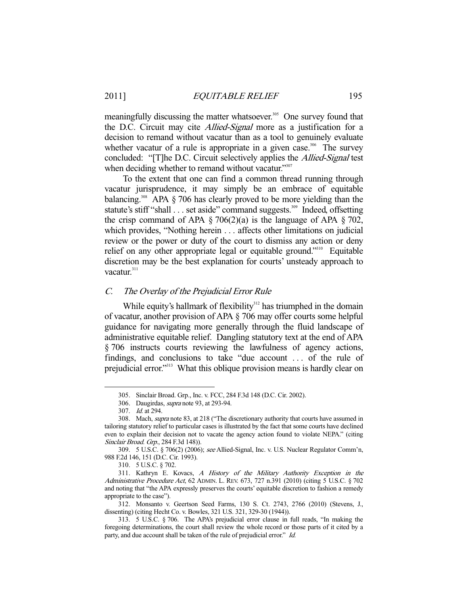meaningfully discussing the matter whatsoever.<sup>305</sup> One survey found that the D.C. Circuit may cite *Allied-Signal* more as a justification for a decision to remand without vacatur than as a tool to genuinely evaluate whether vacatur of a rule is appropriate in a given case.<sup>306</sup> The survey concluded: "[T]he D.C. Circuit selectively applies the Allied-Signal test when deciding whether to remand without vacatur."307

 To the extent that one can find a common thread running through vacatur jurisprudence, it may simply be an embrace of equitable balancing.<sup>308</sup> APA  $\S$  706 has clearly proved to be more yielding than the statute's stiff "shall . . . set aside" command suggests.<sup>309</sup> Indeed, offsetting the crisp command of APA  $\S 706(2)(a)$  is the language of APA  $\S 702$ , which provides, "Nothing herein . . . affects other limitations on judicial review or the power or duty of the court to dismiss any action or deny relief on any other appropriate legal or equitable ground."310 Equitable discretion may be the best explanation for courts' unsteady approach to vacatur.<sup>311</sup>

# C. The Overlay of the Prejudicial Error Rule

While equity's hallmark of flexibility<sup>312</sup> has triumphed in the domain of vacatur, another provision of APA § 706 may offer courts some helpful guidance for navigating more generally through the fluid landscape of administrative equitable relief. Dangling statutory text at the end of APA § 706 instructs courts reviewing the lawfulness of agency actions, findings, and conclusions to take "due account . . . of the rule of prejudicial error."313 What this oblique provision means is hardly clear on

 <sup>305.</sup> Sinclair Broad. Grp., Inc. v. FCC, 284 F.3d 148 (D.C. Cir. 2002).

<sup>306.</sup> Daugirdas, *supra* note 93, at 293-94.

<sup>307.</sup> *Id.* at 294.

 <sup>308.</sup> Mach, supra note 83, at 218 ("The discretionary authority that courts have assumed in tailoring statutory relief to particular cases is illustrated by the fact that some courts have declined even to explain their decision not to vacate the agency action found to violate NEPA." (citing Sinclair Broad. Grp., 284 F.3d 148)).

 <sup>309. 5</sup> U.S.C. § 706(2) (2006); see Allied-Signal, Inc. v. U.S. Nuclear Regulator Comm'n, 988 F.2d 146, 151 (D.C. Cir. 1993).

 <sup>310. 5</sup> U.S.C. § 702.

 <sup>311.</sup> Kathryn E. Kovacs, A History of the Military Authority Exception in the Administrative Procedure Act, 62 ADMIN. L. REV. 673, 727 n.391 (2010) (citing 5 U.S.C. § 702 and noting that "the APA expressly preserves the courts' equitable discretion to fashion a remedy appropriate to the case").

 <sup>312.</sup> Monsanto v. Geertson Seed Farms, 130 S. Ct. 2743, 2766 (2010) (Stevens, J., dissenting) (citing Hecht Co. v. Bowles, 321 U.S. 321, 329-30 (1944)).

 <sup>313. 5</sup> U.S.C. § 706. The APA's prejudicial error clause in full reads, "In making the foregoing determinations, the court shall review the whole record or those parts of it cited by a party, and due account shall be taken of the rule of prejudicial error." Id.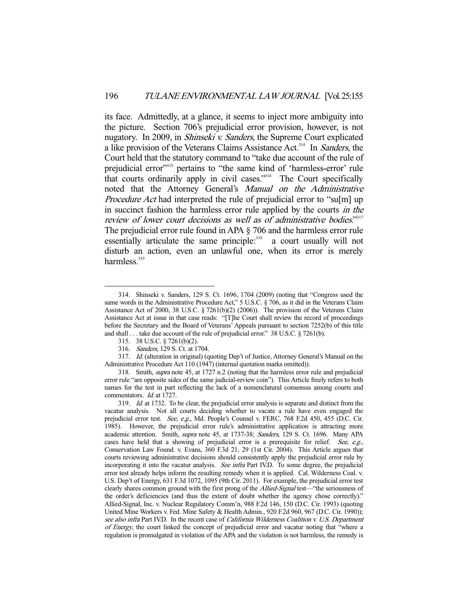its face. Admittedly, at a glance, it seems to inject more ambiguity into the picture. Section 706's prejudicial error provision, however, is not nugatory. In 2009, in *Shinseki v. Sanders*, the Supreme Court explicated a like provision of the Veterans Claims Assistance Act.<sup>314</sup> In Sanders, the Court held that the statutory command to "take due account of the rule of prejudicial error"315 pertains to "the same kind of 'harmless-error' rule that courts ordinarily apply in civil cases."316 The Court specifically noted that the Attorney General's Manual on the Administrative Procedure Act had interpreted the rule of prejudicial error to "su[m] up in succinct fashion the harmless error rule applied by the courts in the review of lower court decisions as well as of administrative bodies."<sup>317</sup> The prejudicial error rule found in APA § 706 and the harmless error rule essentially articulate the same principle:<sup>318</sup> a court usually will not disturb an action, even an unlawful one, when its error is merely harmless.<sup>319</sup>

 <sup>314.</sup> Shinseki v. Sanders, 129 S. Ct. 1696, 1704 (2009) (noting that "Congress used the same words in the Administrative Procedure Act," 5 U.S.C. § 706, as it did in the Veterans Claim Assistance Act of 2000, 38 U.S.C. § 7261(b)(2) (2006)). The provision of the Veterans Claim Assistance Act at issue in that case reads: "[T]he Court shall review the record of proceedings before the Secretary and the Board of Veterans' Appeals pursuant to section 7252(b) of this title and shall . . . take due account of the rule of prejudicial error." 38 U.S.C. § 7261(b).

 <sup>315. 38</sup> U.S.C. § 7261(b)(2).

 <sup>316.</sup> Sanders, 129 S. Ct. at 1704.

<sup>317.</sup> Id. (alteration in original) (quoting Dep't of Justice, Attorney General's Manual on the Administrative Procedure Act 110 (1947) (internal quotation marks omitted)).

 <sup>318.</sup> Smith, supra note 45, at 1727 n.2 (noting that the harmless error rule and prejudicial error rule "are opposite sides of the same judicial-review coin"). This Article freely refers to both names for the test in part reflecting the lack of a nomenclatural consensus among courts and commentators. Id. at 1727.

 <sup>319.</sup> Id. at 1732. To be clear, the prejudicial error analysis is separate and distinct from the vacatur analysis. Not all courts deciding whether to vacate a rule have even engaged the prejudicial error test. See, e.g., Md. People's Counsel v. FERC, 768 F.2d 450, 455 (D.C. Cir. 1985). However, the prejudicial error rule's administrative application is attracting more academic attention. Smith, *supra* note 45, at 1737-38; Sanders, 129 S. Ct. 1696. Many APA cases have held that a showing of prejudicial error is a prerequisite for relief. See, e.g., Conservation Law Found. v. Evans, 360 F.3d 21, 29 (1st Cir. 2004). This Article argues that courts reviewing administrative decisions should consistently apply the prejudicial error rule by incorporating it into the vacatur analysis. See infra Part IV.D. To some degree, the prejudicial error test already helps inform the resulting remedy when it is applied. Cal. Wilderness Coal. v. U.S. Dep't of Energy, 631 F.3d 1072, 1095 (9th Cir. 2011). For example, the prejudicial error test clearly shares common ground with the first prong of the *Allied-Signal* test—"the seriousness of the order's deficiencies (and thus the extent of doubt whether the agency chose correctly)." Allied-Signal, Inc. v. Nuclear Regulatory Comm'n, 988 F.2d 146, 150 (D.C. Cir. 1993) (quoting United Mine Workers v. Fed. Mine Safety & Health Admin., 920 F.2d 960, 967 (D.C. Cir. 1990)); see also infra Part IV.D. In the recent case of *California Wilderness Coalition v. U.S. Department* of Energy, the court linked the concept of prejudicial error and vacatur noting that "where a regulation is promulgated in violation of the APA and the violation is not harmless, the remedy is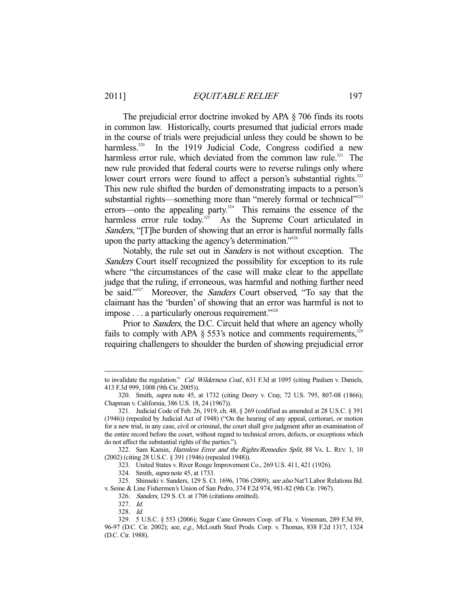The prejudicial error doctrine invoked by APA § 706 finds its roots in common law. Historically, courts presumed that judicial errors made in the course of trials were prejudicial unless they could be shown to be harmless.<sup>320</sup> In the 1919 Judicial Code, Congress codified a new harmless error rule, which deviated from the common law rule.<sup>321</sup> The new rule provided that federal courts were to reverse rulings only where lower court errors were found to affect a person's substantial rights.<sup>322</sup> This new rule shifted the burden of demonstrating impacts to a person's substantial rights—something more than "merely formal or technical"<sup>323</sup> errors—onto the appealing party.<sup>324</sup> This remains the essence of the harmless error rule today.<sup>325</sup> As the Supreme Court articulated in Sanders, "[T]he burden of showing that an error is harmful normally falls upon the party attacking the agency's determination."<sup>326</sup>

 Notably, the rule set out in Sanders is not without exception. The Sanders Court itself recognized the possibility for exception to its rule where "the circumstances of the case will make clear to the appellate judge that the ruling, if erroneous, was harmful and nothing further need be said."<sup>327</sup> Moreover, the *Sanders* Court observed, "To say that the claimant has the 'burden' of showing that an error was harmful is not to impose . . . a particularly onerous requirement."<sup>328</sup>

Prior to *Sanders*, the D.C. Circuit held that where an agency wholly fails to comply with APA  $\S$  553's notice and comments requirements,  $329$ requiring challengers to shoulder the burden of showing prejudicial error

322. Sam Kamin, Harmless Error and the Rights/Remedies Split, 88 VA. L. REV. 1, 10 (2002) (citing 28 U.S.C. § 391 (1946) (repealed 1948)).

323. United States v. River Rouge Improvement Co., 269 U.S. 411, 421 (1926).

to invalidate the regulation." Cal. Wilderness Coal., 631 F.3d at 1095 (citing Paulsen v. Daniels, 413 F.3d 999, 1008 (9th Cir. 2005)).

 <sup>320.</sup> Smith, supra note 45, at 1732 (citing Deery v. Cray, 72 U.S. 795, 807-08 (1866); Chapman v. California, 386 U.S. 18, 24 (1967)).

 <sup>321.</sup> Judicial Code of Feb. 26, 1919, ch. 48, § 269 (codified as amended at 28 U.S.C. § 391 (1946)) (repealed by Judicial Act of 1948) ("On the hearing of any appeal, certiorari, or motion for a new trial, in any case, civil or criminal, the court shall give judgment after an examination of the entire record before the court, without regard to technical errors, defects, or exceptions which do not affect the substantial rights of the parties.").

 <sup>324.</sup> Smith, supra note 45, at 1733.

<sup>325.</sup> Shinseki v. Sanders, 129 S. Ct. 1696, 1706 (2009); see also Nat'l Labor Relations Bd. v. Seine & Line Fishermen's Union of San Pedro, 374 F.2d 974, 981-82 (9th Cir. 1967).

 <sup>326.</sup> Sanders, 129 S. Ct. at 1706 (citations omitted).

 <sup>327.</sup> Id.

 <sup>328.</sup> Id.

 <sup>329. 5</sup> U.S.C. § 553 (2006); Sugar Cane Growers Coop. of Fla. v. Veneman, 289 F.3d 89, 96-97 (D.C. Cir. 2002); see, e.g., McLouth Steel Prods. Corp. v. Thomas, 838 F.2d 1317, 1324 (D.C. Cir. 1988).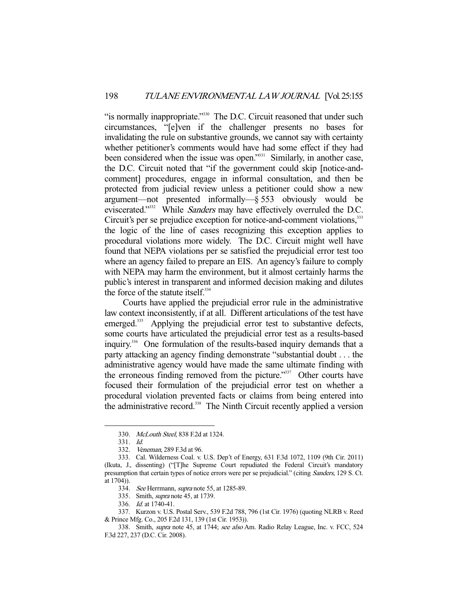"is normally inappropriate."<sup>330</sup> The D.C. Circuit reasoned that under such circumstances, "[e]ven if the challenger presents no bases for invalidating the rule on substantive grounds, we cannot say with certainty whether petitioner's comments would have had some effect if they had been considered when the issue was open."<sup>331</sup> Similarly, in another case, the D.C. Circuit noted that "if the government could skip [notice-andcomment] procedures, engage in informal consultation, and then be protected from judicial review unless a petitioner could show a new argument—not presented informally—§ 553 obviously would be eviscerated."<sup>332</sup> While Sanders may have effectively overruled the D.C. Circuit's per se prejudice exception for notice-and-comment violations, 333 the logic of the line of cases recognizing this exception applies to procedural violations more widely. The D.C. Circuit might well have found that NEPA violations per se satisfied the prejudicial error test too where an agency failed to prepare an EIS. An agency's failure to comply with NEPA may harm the environment, but it almost certainly harms the public's interest in transparent and informed decision making and dilutes the force of the statute itself.<sup>334</sup>

 Courts have applied the prejudicial error rule in the administrative law context inconsistently, if at all. Different articulations of the test have emerged.<sup>335</sup> Applying the prejudicial error test to substantive defects, some courts have articulated the prejudicial error test as a results-based inquiry.336 One formulation of the results-based inquiry demands that a party attacking an agency finding demonstrate "substantial doubt . . . the administrative agency would have made the same ultimate finding with the erroneous finding removed from the picture."<sup>337</sup> Other courts have focused their formulation of the prejudicial error test on whether a procedural violation prevented facts or claims from being entered into the administrative record.<sup>338</sup> The Ninth Circuit recently applied a version

 <sup>330.</sup> McLouth Steel, 838 F.2d at 1324.

 <sup>331.</sup> Id.

 <sup>332.</sup> Veneman, 289 F.3d at 96.

 <sup>333.</sup> Cal. Wilderness Coal. v. U.S. Dep't of Energy, 631 F.3d 1072, 1109 (9th Cir. 2011) (Ikuta, J., dissenting) ("[T]he Supreme Court repudiated the Federal Circuit's mandatory presumption that certain types of notice errors were per se prejudicial." (citing Sanders, 129 S. Ct.  $at 1704$ ).

<sup>334.</sup> See Herrmann, supra note 55, at 1285-89.

 <sup>335.</sup> Smith, supra note 45, at 1739.

 <sup>336.</sup> Id. at 1740-41.

 <sup>337.</sup> Kurzon v. U.S. Postal Serv., 539 F.2d 788, 796 (1st Cir. 1976) (quoting NLRB v. Reed & Prince Mfg. Co., 205 F.2d 131, 139 (1st Cir. 1953)).

<sup>338.</sup> Smith, supra note 45, at 1744; see also Am. Radio Relay League, Inc. v. FCC, 524 F.3d 227, 237 (D.C. Cir. 2008).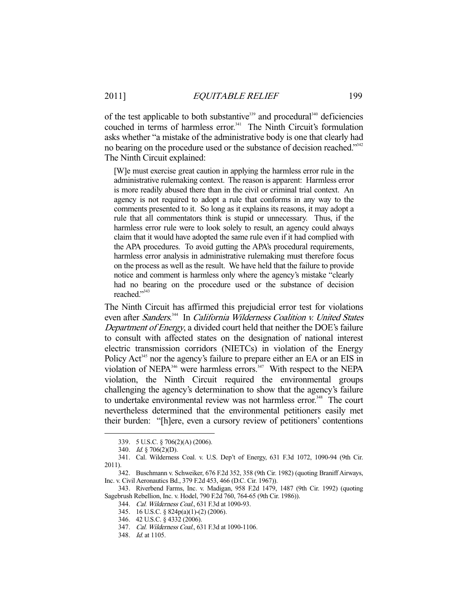of the test applicable to both substantive<sup>339</sup> and procedural<sup>340</sup> deficiencies couched in terms of harmless error.<sup>341</sup> The Ninth Circuit's formulation asks whether "a mistake of the administrative body is one that clearly had no bearing on the procedure used or the substance of decision reached."<sup>342</sup> The Ninth Circuit explained:

[W]e must exercise great caution in applying the harmless error rule in the administrative rulemaking context. The reason is apparent: Harmless error is more readily abused there than in the civil or criminal trial context. An agency is not required to adopt a rule that conforms in any way to the comments presented to it. So long as it explains its reasons, it may adopt a rule that all commentators think is stupid or unnecessary. Thus, if the harmless error rule were to look solely to result, an agency could always claim that it would have adopted the same rule even if it had complied with the APA procedures. To avoid gutting the APA's procedural requirements, harmless error analysis in administrative rulemaking must therefore focus on the process as well as the result. We have held that the failure to provide notice and comment is harmless only where the agency's mistake "clearly had no bearing on the procedure used or the substance of decision reached."343

The Ninth Circuit has affirmed this prejudicial error test for violations even after Sanders.<sup>344</sup> In California Wilderness Coalition v. United States Department of Energy, a divided court held that neither the DOE's failure to consult with affected states on the designation of national interest electric transmission corridors (NIETCs) in violation of the Energy Policy Act<sup>345</sup> nor the agency's failure to prepare either an EA or an EIS in violation of NEPA<sup>346</sup> were harmless errors.<sup>347</sup> With respect to the NEPA violation, the Ninth Circuit required the environmental groups challenging the agency's determination to show that the agency's failure to undertake environmental review was not harmless error.<sup>348</sup> The court nevertheless determined that the environmental petitioners easily met their burden: "[h]ere, even a cursory review of petitioners' contentions

 <sup>339. 5</sup> U.S.C. § 706(2)(A) (2006).

 <sup>340.</sup> Id. § 706(2)(D).

 <sup>341.</sup> Cal. Wilderness Coal. v. U.S. Dep't of Energy, 631 F.3d 1072, 1090-94 (9th Cir. 2011).

 <sup>342.</sup> Buschmann v. Schweiker, 676 F.2d 352, 358 (9th Cir. 1982) (quoting Braniff Airways, Inc. v. Civil Aeronautics Bd., 379 F.2d 453, 466 (D.C. Cir. 1967)).

 <sup>343.</sup> Riverbend Farms, Inc. v. Madigan, 958 F.2d 1479, 1487 (9th Cir. 1992) (quoting Sagebrush Rebellion, Inc. v. Hodel, 790 F.2d 760, 764-65 (9th Cir. 1986)).

 <sup>344.</sup> Cal. Wilderness Coal., 631 F.3d at 1090-93.

 <sup>345. 16</sup> U.S.C. § 824p(a)(1)-(2) (2006).

 <sup>346. 42</sup> U.S.C. § 4332 (2006).

 <sup>347.</sup> Cal. Wilderness Coal., 631 F.3d at 1090-1106.

<sup>348.</sup> *Id.* at 1105.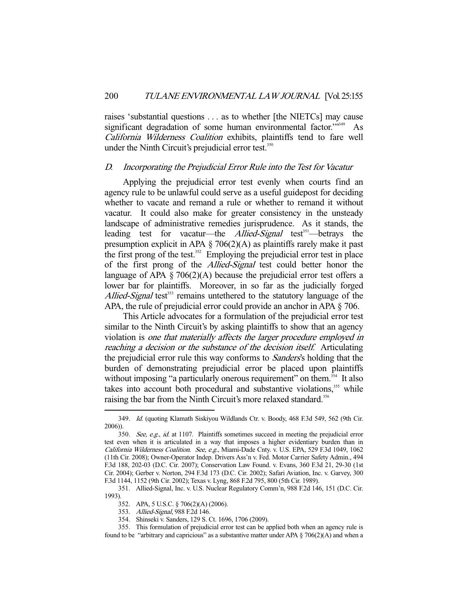raises 'substantial questions . . . as to whether [the NIETCs] may cause significant degradation of some human environmental factor."<sup>349</sup> As California Wilderness Coalition exhibits, plaintiffs tend to fare well under the Ninth Circuit's prejudicial error test.<sup>350</sup>

#### D. Incorporating the Prejudicial Error Rule into the Test for Vacatur

 Applying the prejudicial error test evenly when courts find an agency rule to be unlawful could serve as a useful guidepost for deciding whether to vacate and remand a rule or whether to remand it without vacatur. It could also make for greater consistency in the unsteady landscape of administrative remedies jurisprudence. As it stands, the leading test for vacatur—the *Allied-Signal* test<sup>351</sup>—betrays the presumption explicit in APA  $\S$  706(2)(A) as plaintiffs rarely make it past the first prong of the test.<sup>352</sup> Employing the prejudicial error test in place of the first prong of the Allied-Signal test could better honor the language of APA  $\S 706(2)(A)$  because the prejudicial error test offers a lower bar for plaintiffs. Moreover, in so far as the judicially forged Allied-Signal test<sup>353</sup> remains untethered to the statutory language of the APA, the rule of prejudicial error could provide an anchor in APA § 706.

 This Article advocates for a formulation of the prejudicial error test similar to the Ninth Circuit's by asking plaintiffs to show that an agency violation is one that materially affects the larger procedure employed in reaching a decision or the substance of the decision itself. Articulating the prejudicial error rule this way conforms to Sanders's holding that the burden of demonstrating prejudicial error be placed upon plaintiffs without imposing "a particularly onerous requirement" on them.<sup>354</sup> It also takes into account both procedural and substantive violations,<sup>355</sup> while raising the bar from the Ninth Circuit's more relaxed standard.<sup>356</sup>

 <sup>349.</sup> Id. (quoting Klamath Siskiyou Wildlands Ctr. v. Boody, 468 F.3d 549, 562 (9th Cir. 2006)).

<sup>350.</sup> See, e.g., id. at 1107. Plaintiffs sometimes succeed in meeting the prejudicial error test even when it is articulated in a way that imposes a higher evidentiary burden than in California Wilderness Coalition. See, e.g., Miami-Dade Cnty. v. U.S. EPA, 529 F.3d 1049, 1062 (11th Cir. 2008); Owner-Operator Indep. Drivers Ass'n v. Fed. Motor Carrier Safety Admin., 494 F.3d 188, 202-03 (D.C. Cir. 2007); Conservation Law Found. v. Evans, 360 F.3d 21, 29-30 (1st Cir. 2004); Gerber v. Norton, 294 F.3d 173 (D.C. Cir. 2002); Safari Aviation, Inc. v. Garvey, 300 F.3d 1144, 1152 (9th Cir. 2002); Texas v. Lyng, 868 F.2d 795, 800 (5th Cir. 1989).

 <sup>351.</sup> Allied-Signal, Inc. v. U.S. Nuclear Regulatory Comm'n, 988 F.2d 146, 151 (D.C. Cir. 1993).

 <sup>352.</sup> APA, 5 U.S.C. § 706(2)(A) (2006).

 <sup>353.</sup> Allied-Signal, 988 F.2d 146.

 <sup>354.</sup> Shinseki v. Sanders, 129 S. Ct. 1696, 1706 (2009).

 <sup>355.</sup> This formulation of prejudicial error test can be applied both when an agency rule is found to be "arbitrary and capricious" as a substantive matter under APA  $\S 706(2)(A)$  and when a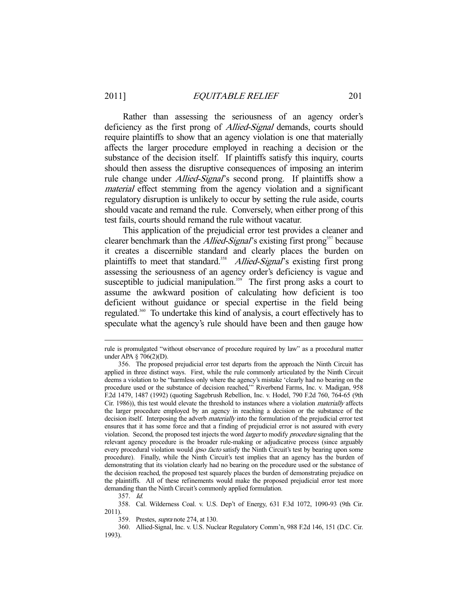Rather than assessing the seriousness of an agency order's deficiency as the first prong of *Allied-Signal* demands, courts should require plaintiffs to show that an agency violation is one that materially affects the larger procedure employed in reaching a decision or the substance of the decision itself. If plaintiffs satisfy this inquiry, courts should then assess the disruptive consequences of imposing an interim rule change under *Allied-Signal*'s second prong. If plaintiffs show a material effect stemming from the agency violation and a significant regulatory disruption is unlikely to occur by setting the rule aside, courts should vacate and remand the rule. Conversely, when either prong of this test fails, courts should remand the rule without vacatur.

 This application of the prejudicial error test provides a cleaner and clearer benchmark than the *Allied-Signal*'s existing first prong<sup>357</sup> because it creates a discernible standard and clearly places the burden on plaintiffs to meet that standard.<sup>358</sup> Allied-Signal's existing first prong assessing the seriousness of an agency order's deficiency is vague and susceptible to judicial manipulation.<sup>359</sup> The first prong asks a court to assume the awkward position of calculating how deficient is too deficient without guidance or special expertise in the field being regulated.<sup>360</sup> To undertake this kind of analysis, a court effectively has to speculate what the agency's rule should have been and then gauge how

rule is promulgated "without observance of procedure required by law" as a procedural matter under APA § 706(2)(D).

 <sup>356.</sup> The proposed prejudicial error test departs from the approach the Ninth Circuit has applied in three distinct ways. First, while the rule commonly articulated by the Ninth Circuit deems a violation to be "harmless only where the agency's mistake 'clearly had no bearing on the procedure used or the substance of decision reached,'" Riverbend Farms, Inc. v. Madigan, 958 F.2d 1479, 1487 (1992) (quoting Sagebrush Rebellion, Inc. v. Hodel, 790 F.2d 760, 764-65 (9th Cir. 1986)), this test would elevate the threshold to instances where a violation materially affects the larger procedure employed by an agency in reaching a decision or the substance of the decision itself. Interposing the adverb *materially* into the formulation of the prejudicial error test ensures that it has some force and that a finding of prejudicial error is not assured with every violation. Second, the proposed test injects the word *larger* to modify *procedure* signaling that the relevant agency procedure is the broader rule-making or adjudicative process (since arguably every procedural violation would *ipso facto* satisfy the Ninth Circuit's test by bearing upon some procedure). Finally, while the Ninth Circuit's test implies that an agency has the burden of demonstrating that its violation clearly had no bearing on the procedure used or the substance of the decision reached, the proposed test squarely places the burden of demonstrating prejudice on the plaintiffs. All of these refinements would make the proposed prejudicial error test more demanding than the Ninth Circuit's commonly applied formulation.

 <sup>357.</sup> Id.

 <sup>358.</sup> Cal. Wilderness Coal. v. U.S. Dep't of Energy, 631 F.3d 1072, 1090-93 (9th Cir. 2011).

 <sup>359.</sup> Prestes, supra note 274, at 130.

 <sup>360.</sup> Allied-Signal, Inc. v. U.S. Nuclear Regulatory Comm'n, 988 F.2d 146, 151 (D.C. Cir. 1993).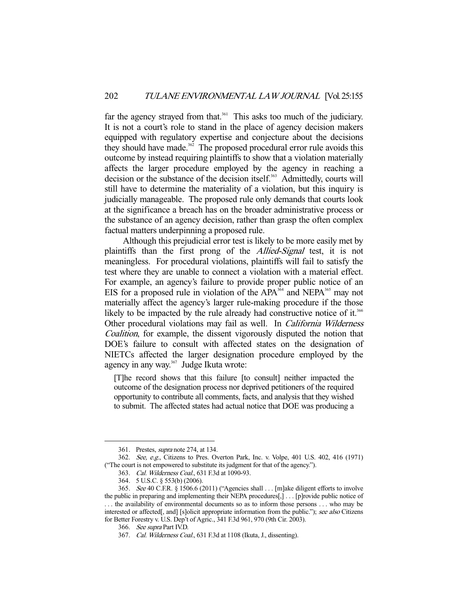far the agency strayed from that.<sup>361</sup> This asks too much of the judiciary. It is not a court's role to stand in the place of agency decision makers equipped with regulatory expertise and conjecture about the decisions they should have made.<sup>362</sup> The proposed procedural error rule avoids this outcome by instead requiring plaintiffs to show that a violation materially affects the larger procedure employed by the agency in reaching a decision or the substance of the decision itself.<sup>363</sup> Admittedly, courts will still have to determine the materiality of a violation, but this inquiry is judicially manageable. The proposed rule only demands that courts look at the significance a breach has on the broader administrative process or the substance of an agency decision, rather than grasp the often complex factual matters underpinning a proposed rule.

 Although this prejudicial error test is likely to be more easily met by plaintiffs than the first prong of the Allied-Signal test, it is not meaningless. For procedural violations, plaintiffs will fail to satisfy the test where they are unable to connect a violation with a material effect. For example, an agency's failure to provide proper public notice of an EIS for a proposed rule in violation of the  $APA<sup>364</sup>$  and NEPA<sup>365</sup> may not materially affect the agency's larger rule-making procedure if the those likely to be impacted by the rule already had constructive notice of it.<sup>366</sup> Other procedural violations may fail as well. In California Wilderness Coalition, for example, the dissent vigorously disputed the notion that DOE's failure to consult with affected states on the designation of NIETCs affected the larger designation procedure employed by the agency in any way.<sup>367</sup> Judge Ikuta wrote:

[T]he record shows that this failure [to consult] neither impacted the outcome of the designation process nor deprived petitioners of the required opportunity to contribute all comments, facts, and analysis that they wished to submit. The affected states had actual notice that DOE was producing a

 <sup>361.</sup> Prestes, supra note 274, at 134.

 <sup>362.</sup> See, e.g., Citizens to Pres. Overton Park, Inc. v. Volpe, 401 U.S. 402, 416 (1971) ("The court is not empowered to substitute its judgment for that of the agency.").

 <sup>363.</sup> Cal. Wilderness Coal., 631 F.3d at 1090-93.

 <sup>364. 5</sup> U.S.C. § 553(b) (2006).

 <sup>365.</sup> See 40 C.F.R. § 1506.6 (2011) ("Agencies shall . . . [m]ake diligent efforts to involve the public in preparing and implementing their NEPA procedures[,] . . . [p]rovide public notice of . . . the availability of environmental documents so as to inform those persons . . . who may be interested or affected[, and] [s]olicit appropriate information from the public."); see also Citizens for Better Forestry v. U.S. Dep't of Agric., 341 F.3d 961, 970 (9th Cir. 2003).

 <sup>366.</sup> See supra Part IV.D.

 <sup>367.</sup> Cal. Wilderness Coal., 631 F.3d at 1108 (Ikuta, J., dissenting).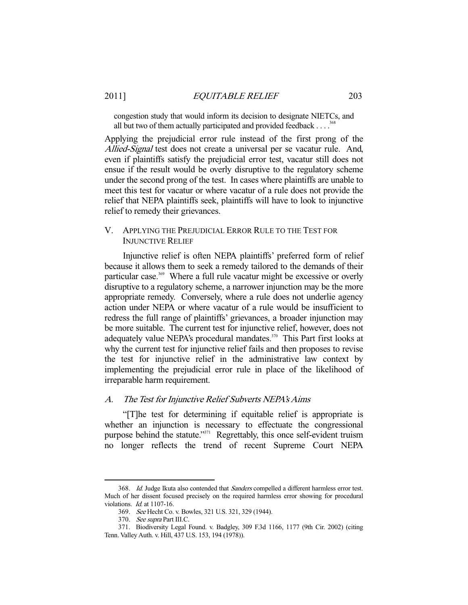congestion study that would inform its decision to designate NIETCs, and all but two of them actually participated and provided feedback  $\dots$ <sup>36</sup>

Applying the prejudicial error rule instead of the first prong of the Allied-Signal test does not create a universal per se vacatur rule. And, even if plaintiffs satisfy the prejudicial error test, vacatur still does not ensue if the result would be overly disruptive to the regulatory scheme under the second prong of the test. In cases where plaintiffs are unable to meet this test for vacatur or where vacatur of a rule does not provide the relief that NEPA plaintiffs seek, plaintiffs will have to look to injunctive relief to remedy their grievances.

# V. APPLYING THE PREJUDICIAL ERROR RULE TO THE TEST FOR INJUNCTIVE RELIEF

 Injunctive relief is often NEPA plaintiffs' preferred form of relief because it allows them to seek a remedy tailored to the demands of their particular case.<sup>369</sup> Where a full rule vacatur might be excessive or overly disruptive to a regulatory scheme, a narrower injunction may be the more appropriate remedy. Conversely, where a rule does not underlie agency action under NEPA or where vacatur of a rule would be insufficient to redress the full range of plaintiffs' grievances, a broader injunction may be more suitable. The current test for injunctive relief, however, does not adequately value NEPA's procedural mandates.<sup>370</sup> This Part first looks at why the current test for injunctive relief fails and then proposes to revise the test for injunctive relief in the administrative law context by implementing the prejudicial error rule in place of the likelihood of irreparable harm requirement.

# A. The Test for Injunctive Relief Subverts NEPA's Aims

"[T]he test for determining if equitable relief is appropriate is whether an injunction is necessary to effectuate the congressional purpose behind the statute."<sup>371</sup> Regrettably, this once self-evident truism no longer reflects the trend of recent Supreme Court NEPA

<sup>368.</sup> Id. Judge Ikuta also contended that Sanders compelled a different harmless error test. Much of her dissent focused precisely on the required harmless error showing for procedural violations. Id. at 1107-16.

 <sup>369.</sup> See Hecht Co. v. Bowles, 321 U.S. 321, 329 (1944).

 <sup>370.</sup> See supra Part III.C.

 <sup>371.</sup> Biodiversity Legal Found. v. Badgley, 309 F.3d 1166, 1177 (9th Cir. 2002) (citing Tenn. Valley Auth. v. Hill, 437 U.S. 153, 194 (1978)).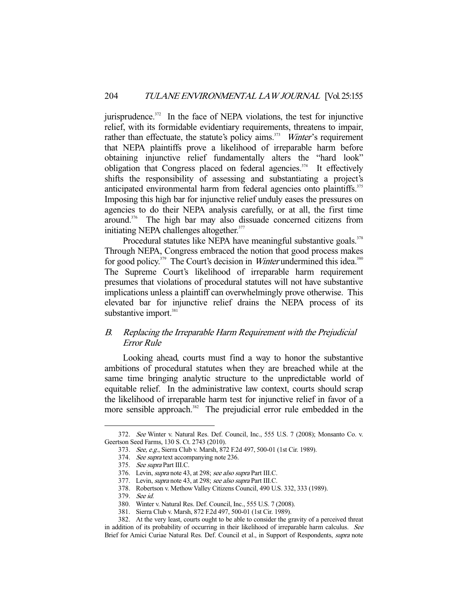jurisprudence.<sup>372</sup> In the face of NEPA violations, the test for injunctive relief, with its formidable evidentiary requirements, threatens to impair, rather than effectuate, the statute's policy aims.<sup>373</sup> *Winter's* requirement that NEPA plaintiffs prove a likelihood of irreparable harm before obtaining injunctive relief fundamentally alters the "hard look" obligation that Congress placed on federal agencies.<sup> $374$ </sup> It effectively shifts the responsibility of assessing and substantiating a project's anticipated environmental harm from federal agencies onto plaintiffs.<sup>375</sup> Imposing this high bar for injunctive relief unduly eases the pressures on agencies to do their NEPA analysis carefully, or at all, the first time around.376 The high bar may also dissuade concerned citizens from initiating NEPA challenges altogether.<sup>377</sup>

Procedural statutes like NEPA have meaningful substantive goals.<sup>378</sup> Through NEPA, Congress embraced the notion that good process makes for good policy.<sup>379</sup> The Court's decision in *Winter* undermined this idea.<sup>380</sup> The Supreme Court's likelihood of irreparable harm requirement presumes that violations of procedural statutes will not have substantive implications unless a plaintiff can overwhelmingly prove otherwise. This elevated bar for injunctive relief drains the NEPA process of its substantive import.<sup>381</sup>

# B. Replacing the Irreparable Harm Requirement with the Prejudicial Error Rule

 Looking ahead, courts must find a way to honor the substantive ambitions of procedural statutes when they are breached while at the same time bringing analytic structure to the unpredictable world of equitable relief. In the administrative law context, courts should scrap the likelihood of irreparable harm test for injunctive relief in favor of a more sensible approach.<sup>382</sup> The prejudicial error rule embedded in the

 <sup>372.</sup> See Winter v. Natural Res. Def. Council, Inc., 555 U.S. 7 (2008); Monsanto Co. v. Geertson Seed Farms, 130 S. Ct. 2743 (2010).

 <sup>373.</sup> See, e.g., Sierra Club v. Marsh, 872 F.2d 497, 500-01 (1st Cir. 1989).

<sup>374.</sup> See supra text accompanying note 236.

 <sup>375.</sup> See supra Part III.C.

<sup>376.</sup> Levin, *supra* note 43, at 298; see also supra Part III.C.

<sup>377.</sup> Levin, supra note 43, at 298; see also supra Part III.C.

 <sup>378.</sup> Robertson v. Methow Valley Citizens Council, 490 U.S. 332, 333 (1989).

 <sup>379.</sup> See id.

 <sup>380.</sup> Winter v. Natural Res. Def. Council, Inc., 555 U.S. 7 (2008).

 <sup>381.</sup> Sierra Club v. Marsh, 872 F.2d 497, 500-01 (1st Cir. 1989).

 <sup>382.</sup> At the very least, courts ought to be able to consider the gravity of a perceived threat in addition of its probability of occurring in their likelihood of irreparable harm calculus. See Brief for Amici Curiae Natural Res. Def. Council et al., in Support of Respondents, supra note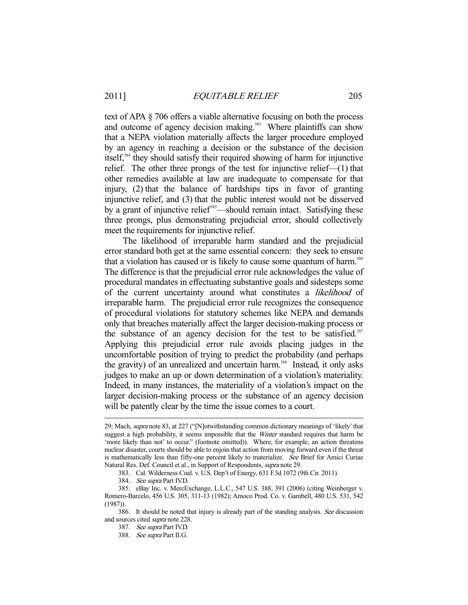text of APA § 706 offers a viable alternative focusing on both the process and outcome of agency decision making.<sup>383</sup> Where plaintiffs can show that a NEPA violation materially affects the larger procedure employed by an agency in reaching a decision or the substance of the decision itself,384 they should satisfy their required showing of harm for injunctive relief. The other three prongs of the test for injunctive relief—(1) that other remedies available at law are inadequate to compensate for that injury, (2) that the balance of hardships tips in favor of granting injunctive relief, and (3) that the public interest would not be disserved by a grant of injunctive relief<sup>385</sup>—should remain intact. Satisfying these three prongs, plus demonstrating prejudicial error, should collectively meet the requirements for injunctive relief.

 The likelihood of irreparable harm standard and the prejudicial error standard both get at the same essential concern: they seek to ensure that a violation has caused or is likely to cause some quantum of harm.<sup>386</sup> The difference is that the prejudicial error rule acknowledges the value of procedural mandates in effectuating substantive goals and sidesteps some of the current uncertainty around what constitutes a likelihood of irreparable harm. The prejudicial error rule recognizes the consequence of procedural violations for statutory schemes like NEPA and demands only that breaches materially affect the larger decision-making process or the substance of an agency decision for the test to be satisfied.<sup>387</sup> Applying this prejudicial error rule avoids placing judges in the uncomfortable position of trying to predict the probability (and perhaps the gravity) of an unrealized and uncertain harm.<sup>388</sup> Instead, it only asks judges to make an up or down determination of a violation's materiality. Indeed, in many instances, the materiality of a violation's impact on the larger decision-making process or the substance of an agency decision will be patently clear by the time the issue comes to a court.

<sup>29;</sup> Mach, supra note 83, at 227 ("[N]otwithstanding common dictionary meanings of 'likely' that suggest a high probability, it seems impossible that the *Winter* standard requires that harm be 'more likely than not' to occur." (footnote omitted)). Where, for example, an action threatens nuclear disaster, courts should be able to enjoin that action from moving forward even if the threat is mathematically less than fifty-one percent likely to materialize. See Brief for Amici Curiae Natural Res. Def. Council et al., in Support of Respondents, supra note 29.

 <sup>383.</sup> Cal. Wilderness Coal. v. U.S. Dep't of Energy, 631 F.3d 1072 (9th Cir. 2011).

<sup>384.</sup> See supra Part IV.D.

 <sup>385.</sup> eBay Inc. v. MercExchange, L.L.C., 547 U.S. 388, 391 (2006) (citing Weinberger v. Romero-Barcelo, 456 U.S. 305, 311-13 (1982); Amoco Prod. Co. v. Gambell, 480 U.S. 531, 542 (1987)).

<sup>386.</sup> It should be noted that injury is already part of the standing analysis. See discussion and sources cited supra note 228.

 <sup>387.</sup> See supra Part IV.D.

 <sup>388.</sup> See supra Part II.G.